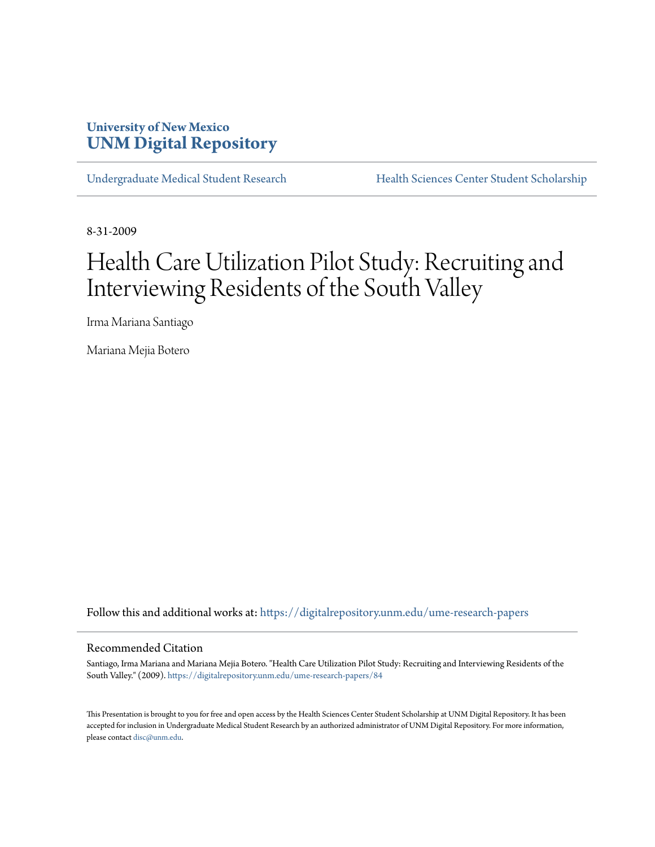# **University of New Mexico [UNM Digital Repository](https://digitalrepository.unm.edu?utm_source=digitalrepository.unm.edu%2Fume-research-papers%2F84&utm_medium=PDF&utm_campaign=PDFCoverPages)**

[Undergraduate Medical Student Research](https://digitalrepository.unm.edu/ume-research-papers?utm_source=digitalrepository.unm.edu%2Fume-research-papers%2F84&utm_medium=PDF&utm_campaign=PDFCoverPages) [Health Sciences Center Student Scholarship](https://digitalrepository.unm.edu/hsc-students?utm_source=digitalrepository.unm.edu%2Fume-research-papers%2F84&utm_medium=PDF&utm_campaign=PDFCoverPages)

8-31-2009

# Health Care Utilization Pilot Study: Recruiting and Interviewing Residents of the South Valley

Irma Mariana Santiago

Mariana Mejia Botero

Follow this and additional works at: [https://digitalrepository.unm.edu/ume-research-papers](https://digitalrepository.unm.edu/ume-research-papers?utm_source=digitalrepository.unm.edu%2Fume-research-papers%2F84&utm_medium=PDF&utm_campaign=PDFCoverPages)

#### Recommended Citation

Santiago, Irma Mariana and Mariana Mejia Botero. "Health Care Utilization Pilot Study: Recruiting and Interviewing Residents of the South Valley." (2009). [https://digitalrepository.unm.edu/ume-research-papers/84](https://digitalrepository.unm.edu/ume-research-papers/84?utm_source=digitalrepository.unm.edu%2Fume-research-papers%2F84&utm_medium=PDF&utm_campaign=PDFCoverPages)

This Presentation is brought to you for free and open access by the Health Sciences Center Student Scholarship at UNM Digital Repository. It has been accepted for inclusion in Undergraduate Medical Student Research by an authorized administrator of UNM Digital Repository. For more information, please contact [disc@unm.edu.](mailto:disc@unm.edu)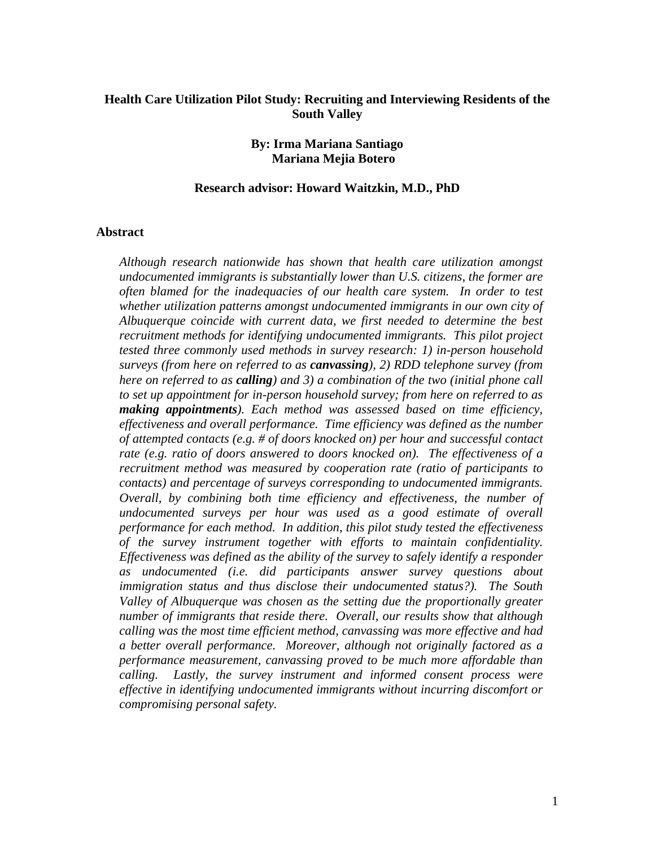# **Health Care Utilization Pilot Study: Recruiting and Interviewing Residents of the South Valley**

## **By: Irma Mariana Santiago Mariana Mejia Botero**

#### **Research advisor: Howard Waitzkin, M.D., PhD**

#### **Abstract**

*Although research nationwide has shown that health care utilization amongst undocumented immigrants is substantially lower than U.S. citizens, the former are often blamed for the inadequacies of our health care system. In order to test whether utilization patterns amongst undocumented immigrants in our own city of Albuquerque coincide with current data, we first needed to determine the best recruitment methods for identifying undocumented immigrants. This pilot project tested three commonly used methods in survey research: 1) in-person household surveys (from here on referred to as canvassing), 2) RDD telephone survey (from here on referred to as calling) and 3) a combination of the two (initial phone call to set up appointment for in-person household survey; from here on referred to as making appointments). Each method was assessed based on time efficiency, effectiveness and overall performance. Time efficiency was defined as the number of attempted contacts (e.g. # of doors knocked on) per hour and successful contact rate (e.g. ratio of doors answered to doors knocked on). The effectiveness of a recruitment method was measured by cooperation rate (ratio of participants to contacts) and percentage of surveys corresponding to undocumented immigrants. Overall, by combining both time efficiency and effectiveness, the number of undocumented surveys per hour was used as a good estimate of overall performance for each method. In addition, this pilot study tested the effectiveness of the survey instrument together with efforts to maintain confidentiality. Effectiveness was defined as the ability of the survey to safely identify a responder as undocumented (i.e. did participants answer survey questions about immigration status and thus disclose their undocumented status?). The South Valley of Albuquerque was chosen as the setting due the proportionally greater number of immigrants that reside there. Overall, our results show that although calling was the most time efficient method, canvassing was more effective and had a better overall performance. Moreover, although not originally factored as a performance measurement, canvassing proved to be much more affordable than calling. Lastly, the survey instrument and informed consent process were effective in identifying undocumented immigrants without incurring discomfort or compromising personal safety.*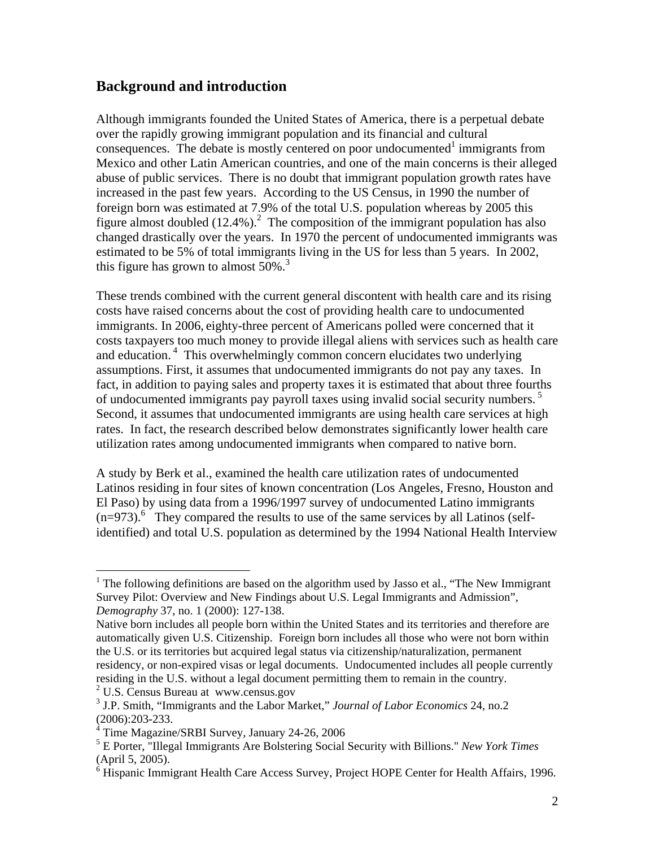# **Background and introduction**

Although immigrants founded the United States of America, there is a perpetual debate over the rapidly growing immigrant population and its financial and cultural  $consequences.$  The debate is mostly centered on poor undocumented<sup>1</sup> immigrants from Mexico and other Latin American countries, and one of the main concerns is their alleged abuse of public services. There is no doubt that immigrant population growth rates have increased in the past few years. According to the US Census, in 1990 the number of foreign born was estimated at 7.9% of the total U.S. population whereas by 2005 this figure almost doubled  $(12.4\%)$ .<sup>2</sup> The composition of the immigrant population has also changed drastically over the years. In 1970 the percent of undocumented immigrants was estimated to be 5% of total immigrants living in the US for less than 5 years. In 2002, this figure has grown to almost  $50\%$ .<sup>3</sup>

These trends combined with the current general discontent with health care and its rising costs have raised concerns about the cost of providing health care to undocumented immigrants. In 2006, eighty-three percent of Americans polled were concerned that it costs taxpayers too much money to provide illegal aliens with services such as health care and education.<sup>4</sup> This overwhelmingly common concern elucidates two underlying assumptions. First, it assumes that undocumented immigrants do not pay any taxes. In fact, in addition to paying sales and property taxes it is estimated that about three fourths of undocumented immigrants pay payroll taxes using invalid social security numbers.<sup>5</sup> Second, it assumes that undocumented immigrants are using health care services at high rates. In fact, the research described below demonstrates significantly lower health care utilization rates among undocumented immigrants when compared to native born.

A study by Berk et al., examined the health care utilization rates of undocumented Latinos residing in four sites of known concentration (Los Angeles, Fresno, Houston and El Paso) by using data from a 1996/1997 survey of undocumented Latino immigrants  $(n=973)$ .<sup>6</sup> They compared the results to use of the same services by all Latinos (selfidentified) and total U.S. population as determined by the 1994 National Health Interview

2 U.S. Census Bureau at www.census.gov

1

<sup>&</sup>lt;sup>1</sup> The following definitions are based on the algorithm used by Jasso et al., "The New Immigrant" Survey Pilot: Overview and New Findings about U.S. Legal Immigrants and Admission", *Demography* 37, no. 1 (2000): 127-138.

Native born includes all people born within the United States and its territories and therefore are automatically given U.S. Citizenship. Foreign born includes all those who were not born within the U.S. or its territories but acquired legal status via citizenship/naturalization, permanent residency, or non-expired visas or legal documents. Undocumented includes all people currently residing in the U.S. without a legal document permitting them to remain in the country.

<sup>3</sup> J.P. Smith, "Immigrants and the Labor Market," *Journal of Labor Economics* 24, no.2 (2006):203-233.

<sup>4</sup> Time Magazine/SRBI Survey, January 24-26, 2006

<sup>5</sup> E Porter, "Illegal Immigrants Are Bolstering Social Security with Billions." *New York Times* (April 5, 2005).

 $6$  Hispanic Immigrant Health Care Access Survey, Project HOPE Center for Health Affairs, 1996.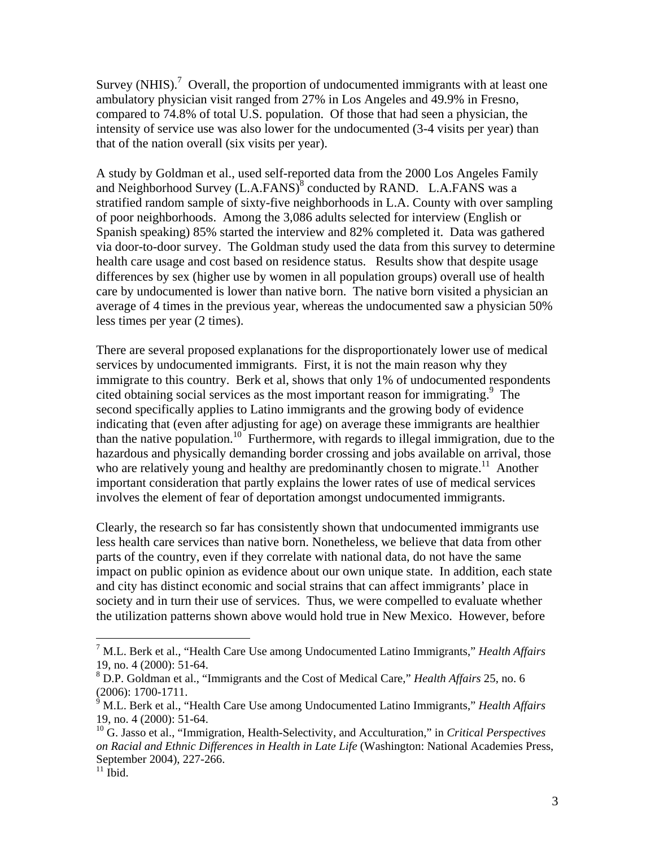Survey (NHIS).<sup>7</sup> Overall, the proportion of undocumented immigrants with at least one ambulatory physician visit ranged from 27% in Los Angeles and 49.9% in Fresno, compared to 74.8% of total U.S. population. Of those that had seen a physician, the intensity of service use was also lower for the undocumented (3-4 visits per year) than that of the nation overall (six visits per year).

A study by Goldman et al., used self-reported data from the 2000 Los Angeles Family and Neighborhood Survey  $(L.A.FANS)^8$  conducted by RAND. L.A.FANS was a stratified random sample of sixty-five neighborhoods in L.A. County with over sampling of poor neighborhoods. Among the 3,086 adults selected for interview (English or Spanish speaking) 85% started the interview and 82% completed it. Data was gathered via door-to-door survey. The Goldman study used the data from this survey to determine health care usage and cost based on residence status. Results show that despite usage differences by sex (higher use by women in all population groups) overall use of health care by undocumented is lower than native born. The native born visited a physician an average of 4 times in the previous year, whereas the undocumented saw a physician 50% less times per year (2 times).

There are several proposed explanations for the disproportionately lower use of medical services by undocumented immigrants. First, it is not the main reason why they immigrate to this country. Berk et al, shows that only 1% of undocumented respondents cited obtaining social services as the most important reason for immigrating.<sup>9</sup> The second specifically applies to Latino immigrants and the growing body of evidence indicating that (even after adjusting for age) on average these immigrants are healthier than the native population.<sup>10</sup> Furthermore, with regards to illegal immigration, due to the hazardous and physically demanding border crossing and jobs available on arrival, those who are relatively young and healthy are predominantly chosen to migrate.<sup>11</sup> Another important consideration that partly explains the lower rates of use of medical services involves the element of fear of deportation amongst undocumented immigrants.

Clearly, the research so far has consistently shown that undocumented immigrants use less health care services than native born. Nonetheless, we believe that data from other parts of the country, even if they correlate with national data, do not have the same impact on public opinion as evidence about our own unique state. In addition, each state and city has distinct economic and social strains that can affect immigrants' place in society and in turn their use of services. Thus, we were compelled to evaluate whether the utilization patterns shown above would hold true in New Mexico. However, before

 $\overline{a}$ 

<sup>7</sup> M.L. Berk et al., "Health Care Use among Undocumented Latino Immigrants," *Health Affairs*  19, no. 4 (2000): 51-64.

<sup>8</sup> D.P. Goldman et al., "Immigrants and the Cost of Medical Care," *Health Affairs* 25, no. 6 (2006): 1700-1711.

<sup>9</sup> M.L. Berk et al., "Health Care Use among Undocumented Latino Immigrants," *Health Affairs*  19, no. 4 (2000): 51-64.

<sup>10</sup> G. Jasso et al., "Immigration, Health-Selectivity, and Acculturation," in *Critical Perspectives on Racial and Ethnic Differences in Health in Late Life* (Washington: National Academies Press, September 2004), 227-266.

 $11$  Ibid.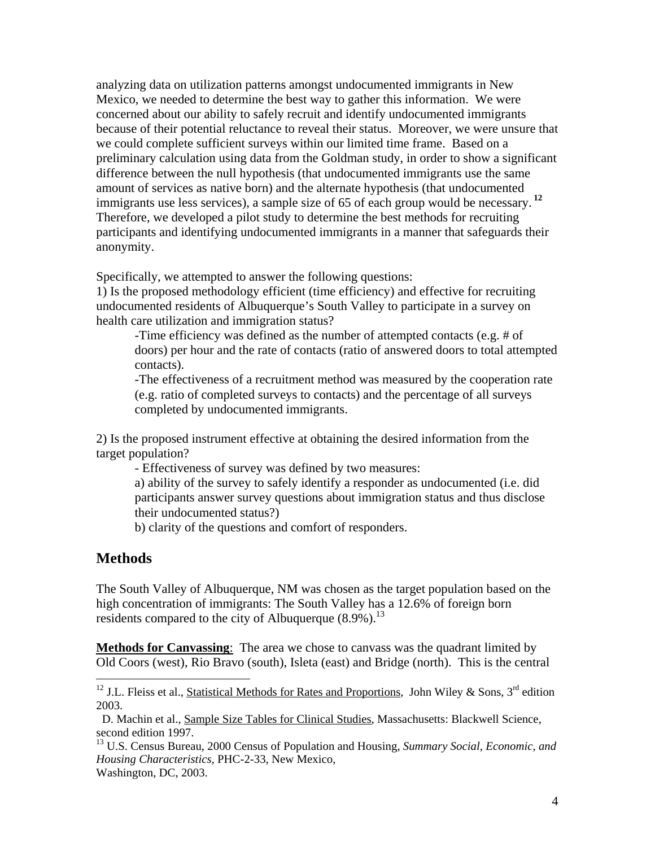analyzing data on utilization patterns amongst undocumented immigrants in New Mexico, we needed to determine the best way to gather this information. We were concerned about our ability to safely recruit and identify undocumented immigrants because of their potential reluctance to reveal their status. Moreover, we were unsure that we could complete sufficient surveys within our limited time frame. Based on a preliminary calculation using data from the Goldman study, in order to show a significant difference between the null hypothesis (that undocumented immigrants use the same amount of services as native born) and the alternate hypothesis (that undocumented immigrants use less services), a sample size of 65 of each group would be necessary.**<sup>12</sup>** Therefore, we developed a pilot study to determine the best methods for recruiting participants and identifying undocumented immigrants in a manner that safeguards their anonymity.

Specifically, we attempted to answer the following questions:

1) Is the proposed methodology efficient (time efficiency) and effective for recruiting undocumented residents of Albuquerque's South Valley to participate in a survey on health care utilization and immigration status?

-Time efficiency was defined as the number of attempted contacts (e.g. # of doors) per hour and the rate of contacts (ratio of answered doors to total attempted contacts).

-The effectiveness of a recruitment method was measured by the cooperation rate (e.g. ratio of completed surveys to contacts) and the percentage of all surveys completed by undocumented immigrants.

2) Is the proposed instrument effective at obtaining the desired information from the target population?

- Effectiveness of survey was defined by two measures:

a) ability of the survey to safely identify a responder as undocumented (i.e. did participants answer survey questions about immigration status and thus disclose their undocumented status?)

b) clarity of the questions and comfort of responders.

# **Methods**

The South Valley of Albuquerque, NM was chosen as the target population based on the high concentration of immigrants: The South Valley has a 12.6% of foreign born residents compared to the city of Albuquerque  $(8.9\%)$ <sup>13</sup>

**Methods for Canvassing**: The area we chose to canvass was the quadrant limited by Old Coors (west), Rio Bravo (south), Isleta (east) and Bridge (north). This is the central

 D. Machin et al., Sample Size Tables for Clinical Studies, Massachusetts: Blackwell Science, second edition 1997.

13 U.S. Census Bureau, 2000 Census of Population and Housing, *Summary Social, Economic, and Housing Characteristics,* PHC-2-33, New Mexico, Washington, DC, 2003.

 $\overline{a}$ <sup>12</sup> J.L. Fleiss et al., Statistical Methods for Rates and Proportions, John Wiley & Sons, 3<sup>rd</sup> edition 2003.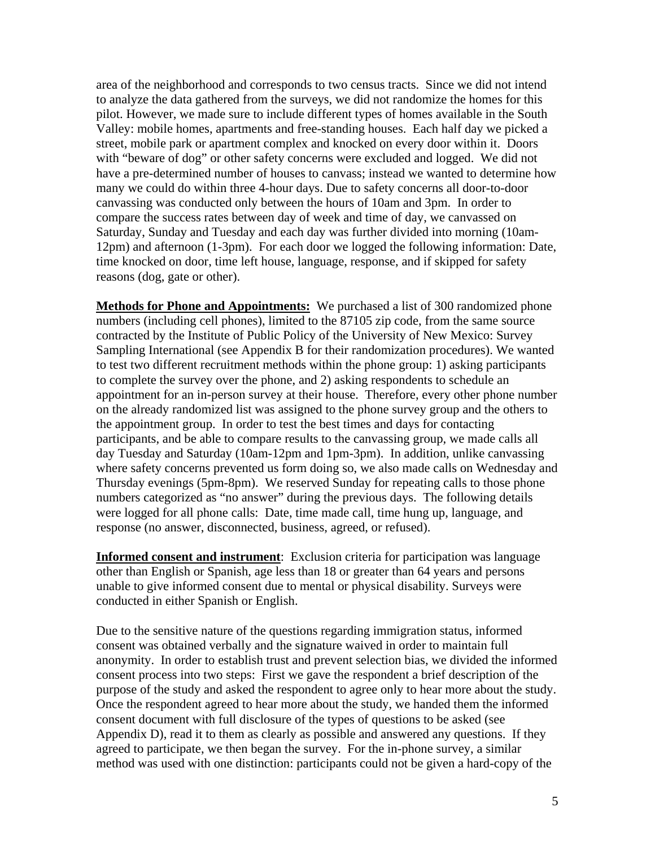area of the neighborhood and corresponds to two census tracts. Since we did not intend to analyze the data gathered from the surveys, we did not randomize the homes for this pilot. However, we made sure to include different types of homes available in the South Valley: mobile homes, apartments and free-standing houses. Each half day we picked a street, mobile park or apartment complex and knocked on every door within it. Doors with "beware of dog" or other safety concerns were excluded and logged. We did not have a pre-determined number of houses to canvass; instead we wanted to determine how many we could do within three 4-hour days. Due to safety concerns all door-to-door canvassing was conducted only between the hours of 10am and 3pm. In order to compare the success rates between day of week and time of day, we canvassed on Saturday, Sunday and Tuesday and each day was further divided into morning (10am-12pm) and afternoon (1-3pm). For each door we logged the following information: Date, time knocked on door, time left house, language, response, and if skipped for safety reasons (dog, gate or other).

**Methods for Phone and Appointments:** We purchased a list of 300 randomized phone numbers (including cell phones), limited to the 87105 zip code, from the same source contracted by the Institute of Public Policy of the University of New Mexico: Survey Sampling International (see Appendix B for their randomization procedures). We wanted to test two different recruitment methods within the phone group: 1) asking participants to complete the survey over the phone, and 2) asking respondents to schedule an appointment for an in-person survey at their house. Therefore, every other phone number on the already randomized list was assigned to the phone survey group and the others to the appointment group. In order to test the best times and days for contacting participants, and be able to compare results to the canvassing group, we made calls all day Tuesday and Saturday (10am-12pm and 1pm-3pm). In addition, unlike canvassing where safety concerns prevented us form doing so, we also made calls on Wednesday and Thursday evenings (5pm-8pm). We reserved Sunday for repeating calls to those phone numbers categorized as "no answer" during the previous days. The following details were logged for all phone calls: Date, time made call, time hung up, language, and response (no answer, disconnected, business, agreed, or refused).

**Informed consent and instrument**: Exclusion criteria for participation was language other than English or Spanish, age less than 18 or greater than 64 years and persons unable to give informed consent due to mental or physical disability. Surveys were conducted in either Spanish or English.

Due to the sensitive nature of the questions regarding immigration status, informed consent was obtained verbally and the signature waived in order to maintain full anonymity. In order to establish trust and prevent selection bias, we divided the informed consent process into two steps: First we gave the respondent a brief description of the purpose of the study and asked the respondent to agree only to hear more about the study. Once the respondent agreed to hear more about the study, we handed them the informed consent document with full disclosure of the types of questions to be asked (see Appendix D), read it to them as clearly as possible and answered any questions. If they agreed to participate, we then began the survey. For the in-phone survey, a similar method was used with one distinction: participants could not be given a hard-copy of the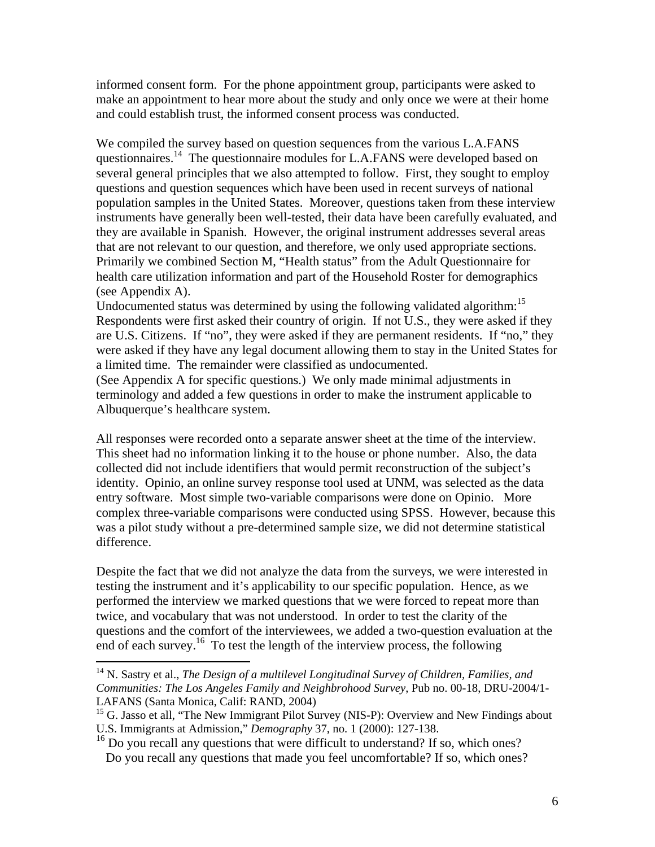informed consent form. For the phone appointment group, participants were asked to make an appointment to hear more about the study and only once we were at their home and could establish trust, the informed consent process was conducted.

We compiled the survey based on question sequences from the various L.A.FANS questionnaires.<sup>14</sup> The questionnaire modules for L.A.FANS were developed based on several general principles that we also attempted to follow. First, they sought to employ questions and question sequences which have been used in recent surveys of national population samples in the United States. Moreover, questions taken from these interview instruments have generally been well-tested, their data have been carefully evaluated, and they are available in Spanish. However, the original instrument addresses several areas that are not relevant to our question, and therefore, we only used appropriate sections. Primarily we combined Section M, "Health status" from the Adult Questionnaire for health care utilization information and part of the Household Roster for demographics (see Appendix A).

Undocumented status was determined by using the following validated algorithm:<sup>15</sup> Respondents were first asked their country of origin. If not U.S., they were asked if they are U.S. Citizens. If "no", they were asked if they are permanent residents. If "no," they were asked if they have any legal document allowing them to stay in the United States for a limited time. The remainder were classified as undocumented.

(See Appendix A for specific questions.) We only made minimal adjustments in terminology and added a few questions in order to make the instrument applicable to Albuquerque's healthcare system.

All responses were recorded onto a separate answer sheet at the time of the interview. This sheet had no information linking it to the house or phone number. Also, the data collected did not include identifiers that would permit reconstruction of the subject's identity. Opinio, an online survey response tool used at UNM, was selected as the data entry software. Most simple two-variable comparisons were done on Opinio. More complex three-variable comparisons were conducted using SPSS. However, because this was a pilot study without a pre-determined sample size, we did not determine statistical difference.

Despite the fact that we did not analyze the data from the surveys, we were interested in testing the instrument and it's applicability to our specific population. Hence, as we performed the interview we marked questions that we were forced to repeat more than twice, and vocabulary that was not understood. In order to test the clarity of the questions and the comfort of the interviewees, we added a two-question evaluation at the end of each survey.<sup>16</sup> To test the length of the interview process, the following

 $\overline{a}$ 

<sup>14</sup> N. Sastry et al., *The Design of a multilevel Longitudinal Survey of Children, Families, and Communities: The Los Angeles Family and Neighbrohood Survey*, Pub no. 00-18, DRU-2004/1- LAFANS (Santa Monica, Calif: RAND, 2004)

<sup>&</sup>lt;sup>15</sup> G. Jasso et all, "The New Immigrant Pilot Survey (NIS-P): Overview and New Findings about U.S. Immigrants at Admission," *Demography* 37, no. 1 (2000): 127-138.

<sup>&</sup>lt;sup>16</sup> Do you recall any questions that were difficult to understand? If so, which ones? Do you recall any questions that made you feel uncomfortable? If so, which ones?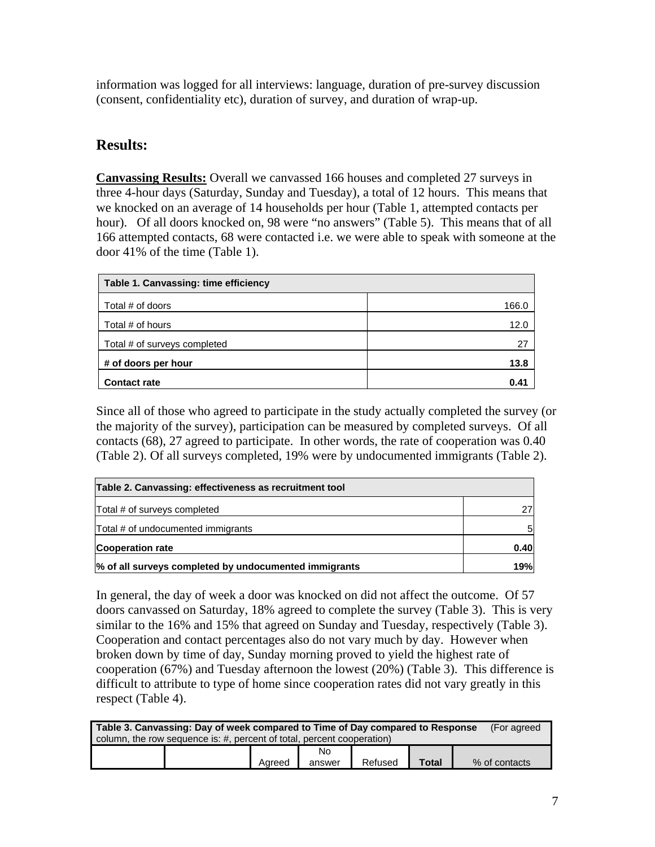information was logged for all interviews: language, duration of pre-survey discussion (consent, confidentiality etc), duration of survey, and duration of wrap-up.

# **Results:**

**Canvassing Results:** Overall we canvassed 166 houses and completed 27 surveys in three 4-hour days (Saturday, Sunday and Tuesday), a total of 12 hours. This means that we knocked on an average of 14 households per hour (Table 1, attempted contacts per hour). Of all doors knocked on, 98 were "no answers" (Table 5). This means that of all 166 attempted contacts, 68 were contacted i.e. we were able to speak with someone at the door 41% of the time (Table 1).

| Table 1. Canvassing: time efficiency |       |
|--------------------------------------|-------|
| Total # of doors                     | 166.0 |
| Total # of hours                     | 12.0  |
| Total # of surveys completed         | 27    |
| # of doors per hour                  | 13.8  |
| <b>Contact rate</b>                  | 0.41  |

Since all of those who agreed to participate in the study actually completed the survey (or the majority of the survey), participation can be measured by completed surveys. Of all contacts (68), 27 agreed to participate. In other words, the rate of cooperation was 0.40 (Table 2). Of all surveys completed, 19% were by undocumented immigrants (Table 2).

| Table 2. Canvassing: effectiveness as recruitment tool |      |
|--------------------------------------------------------|------|
| Total # of surveys completed                           | 27   |
| Total # of undocumented immigrants                     | 5    |
| <b>Cooperation rate</b>                                | 0.40 |
| % of all surveys completed by undocumented immigrants  | 19%  |

In general, the day of week a door was knocked on did not affect the outcome. Of 57 doors canvassed on Saturday, 18% agreed to complete the survey (Table 3). This is very similar to the 16% and 15% that agreed on Sunday and Tuesday, respectively (Table 3). Cooperation and contact percentages also do not vary much by day. However when broken down by time of day, Sunday morning proved to yield the highest rate of cooperation (67%) and Tuesday afternoon the lowest (20%) (Table 3). This difference is difficult to attribute to type of home since cooperation rates did not vary greatly in this respect (Table 4).

| Table 3. Canvassing: Day of week compared to Time of Day compared to Response |  |        |        |         |              | (For agreed   |
|-------------------------------------------------------------------------------|--|--------|--------|---------|--------------|---------------|
| column, the row sequence is: #, percent of total, percent cooperation)        |  |        |        |         |              |               |
|                                                                               |  |        | No     |         |              |               |
|                                                                               |  | Aareed | answer | Refused | <b>Total</b> | % of contacts |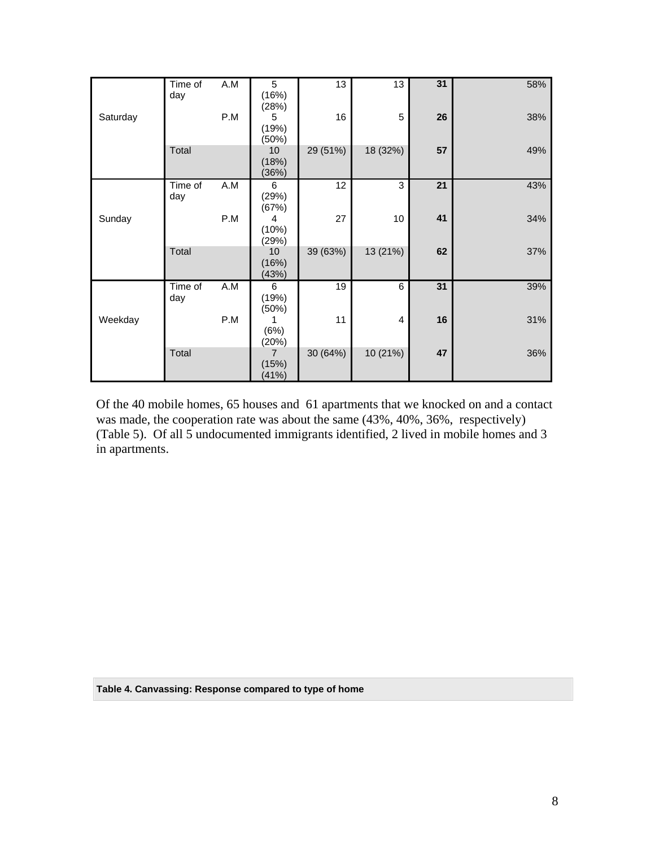|          | Time of | A.M | $\overline{5}$ | $\overline{13}$ | $\overline{13}$ | 31 | 58% |
|----------|---------|-----|----------------|-----------------|-----------------|----|-----|
|          | day     |     | (16%)<br>(28%) |                 |                 |    |     |
| Saturday |         | P.M | 5              | 16              | 5               | 26 | 38% |
|          |         |     | (19%)          |                 |                 |    |     |
|          | Total   |     | (50%)<br>10    | 29 (51%)        | 18 (32%)        | 57 | 49% |
|          |         |     | (18%)          |                 |                 |    |     |
|          |         |     | (36%)          |                 |                 |    |     |
|          | Time of | A.M | 6              | 12              | 3               | 21 | 43% |
|          | day     |     | (29%)<br>(67%) |                 |                 |    |     |
| Sunday   |         | P.M | 4              | 27              | 10              | 41 | 34% |
|          |         |     | (10%)          |                 |                 |    |     |
|          |         |     | (29%)          |                 |                 |    |     |
|          | Total   |     | 10             | 39 (63%)        | 13 (21%)        | 62 | 37% |
|          |         |     | (16%)<br>(43%) |                 |                 |    |     |
|          | Time of | A.M | 6              | 19              | 6               | 31 | 39% |
|          | day     |     | (19%)          |                 |                 |    |     |
|          |         |     | (50%)<br>1     | 11              |                 |    |     |
| Weekday  |         | P.M | (6%)           |                 | 4               | 16 | 31% |
|          |         |     | (20%)          |                 |                 |    |     |
|          | Total   |     | $\overline{7}$ | 30 (64%)        | 10 (21%)        | 47 | 36% |
|          |         |     | (15%)          |                 |                 |    |     |
|          |         |     | (41%)          |                 |                 |    |     |

Of the 40 mobile homes, 65 houses and 61 apartments that we knocked on and a contact was made, the cooperation rate was about the same  $(43\%, 40\%, 36\%,$  respectively) (Table 5). Of all 5 undocumented immigrants identified, 2 lived in mobile homes and 3 in apartments.

**Table 4. Canvassing: Response compared to type of home**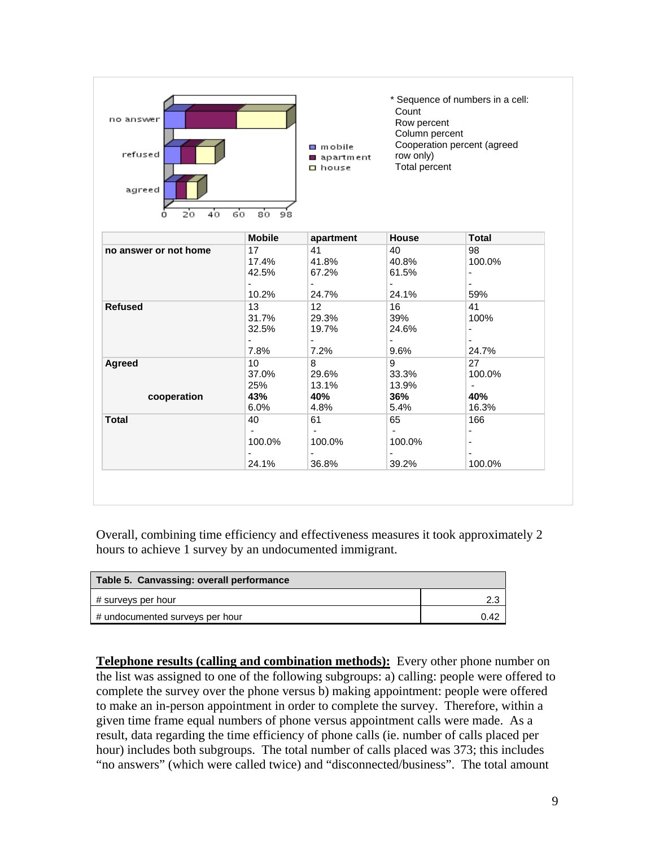| no answer<br>refused<br>agreed<br>40<br>Σo<br>Ω | 60<br>80<br>98                                  | $\Box$ mobile<br>apartment<br>□ house                     | Count<br>Row percent<br>Column percent<br>row only)<br><b>Total percent</b> | * Sequence of numbers in a cell:<br>Cooperation percent (agreed |
|-------------------------------------------------|-------------------------------------------------|-----------------------------------------------------------|-----------------------------------------------------------------------------|-----------------------------------------------------------------|
|                                                 | <b>Mobile</b>                                   | apartment                                                 | House                                                                       | <b>Total</b>                                                    |
| no answer or not home                           | 17<br>17.4%<br>42.5%<br>$\blacksquare$<br>10.2% | 41<br>41.8%<br>67.2%<br>$\sim$<br>24.7%                   | 40<br>40.8%<br>61.5%<br>$\frac{1}{2}$<br>24.1%                              | 98<br>100.0%<br>$\overline{\phantom{0}}$<br>59%                 |
| <b>Refused</b>                                  | 13<br>31.7%<br>32.5%<br>$\blacksquare$<br>7.8%  | 12<br>29.3%<br>19.7%<br>$\sim$<br>7.2%                    | 16<br>39%<br>24.6%<br>$\blacksquare$<br>9.6%                                | 41<br>100%<br>$\overline{\phantom{0}}$<br>24.7%                 |
| Agreed<br>cooperation                           | 10<br>37.0%<br>25%<br>43%<br>6.0%               | 8<br>29.6%<br>13.1%<br>40%<br>4.8%                        | 9<br>33.3%<br>13.9%<br>36%<br>5.4%                                          | 27<br>100.0%<br>$\blacksquare$<br>40%<br>16.3%                  |
| <b>Total</b>                                    | 40<br>÷.<br>100.0%<br>24.1%                     | 61<br>$\blacksquare$<br>100.0%<br>$\blacksquare$<br>36.8% | 65<br>$\sim$<br>100.0%<br>۰<br>39.2%                                        | 166<br>$\blacksquare$<br>$\overline{\phantom{0}}$<br>100.0%     |

Overall, combining time efficiency and effectiveness measures it took approximately 2 hours to achieve 1 survey by an undocumented immigrant.

| Table 5. Canvassing: overall performance |      |
|------------------------------------------|------|
| # surveys per hour                       |      |
| # undocumented surveys per hour          | ገ 42 |

**Telephone results (calling and combination methods):** Every other phone number on the list was assigned to one of the following subgroups: a) calling: people were offered to complete the survey over the phone versus b) making appointment: people were offered to make an in-person appointment in order to complete the survey. Therefore, within a given time frame equal numbers of phone versus appointment calls were made. As a result, data regarding the time efficiency of phone calls (ie. number of calls placed per hour) includes both subgroups. The total number of calls placed was 373; this includes "no answers" (which were called twice) and "disconnected/business". The total amount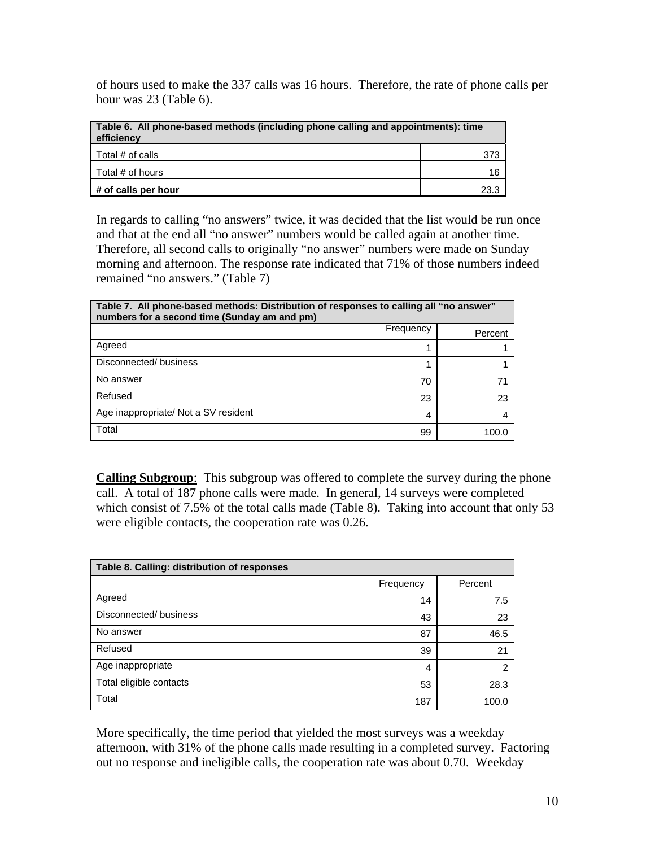of hours used to make the 337 calls was 16 hours. Therefore, the rate of phone calls per hour was 23 (Table 6).

| Table 6. All phone-based methods (including phone calling and appointments): time<br>efficiency |      |  |  |  |
|-------------------------------------------------------------------------------------------------|------|--|--|--|
| Total # of calls                                                                                |      |  |  |  |
| Total # of hours                                                                                |      |  |  |  |
| # of calls per hour                                                                             | 23.3 |  |  |  |

In regards to calling "no answers" twice, it was decided that the list would be run once and that at the end all "no answer" numbers would be called again at another time. Therefore, all second calls to originally "no answer" numbers were made on Sunday morning and afternoon. The response rate indicated that 71% of those numbers indeed remained "no answers." (Table 7)

| Table 7. All phone-based methods: Distribution of responses to calling all "no answer"<br>numbers for a second time (Sunday am and pm) |           |         |  |  |  |
|----------------------------------------------------------------------------------------------------------------------------------------|-----------|---------|--|--|--|
|                                                                                                                                        | Frequency | Percent |  |  |  |
| Agreed                                                                                                                                 |           |         |  |  |  |
| Disconnected/business                                                                                                                  |           |         |  |  |  |
| No answer                                                                                                                              | 70        |         |  |  |  |
| Refused                                                                                                                                | 23        | 23      |  |  |  |
| Age inappropriate/ Not a SV resident                                                                                                   | 4         |         |  |  |  |
| Total                                                                                                                                  | 99        |         |  |  |  |

**Calling Subgroup**: This subgroup was offered to complete the survey during the phone call. A total of 187 phone calls were made. In general, 14 surveys were completed which consist of 7.5% of the total calls made (Table 8). Taking into account that only 53 were eligible contacts, the cooperation rate was 0.26.

| Table 8. Calling: distribution of responses |           |         |  |  |  |  |
|---------------------------------------------|-----------|---------|--|--|--|--|
|                                             | Frequency | Percent |  |  |  |  |
| Agreed                                      | 14        | 7.5     |  |  |  |  |
| Disconnected/business                       | 43        | 23      |  |  |  |  |
| No answer                                   | 87        | 46.5    |  |  |  |  |
| Refused                                     | 39        | 21      |  |  |  |  |
| Age inappropriate                           | 4         | 2       |  |  |  |  |
| Total eligible contacts                     | 53        | 28.3    |  |  |  |  |
| Total                                       | 187       | 100.0   |  |  |  |  |

More specifically, the time period that yielded the most surveys was a weekday afternoon, with 31% of the phone calls made resulting in a completed survey. Factoring out no response and ineligible calls, the cooperation rate was about 0.70. Weekday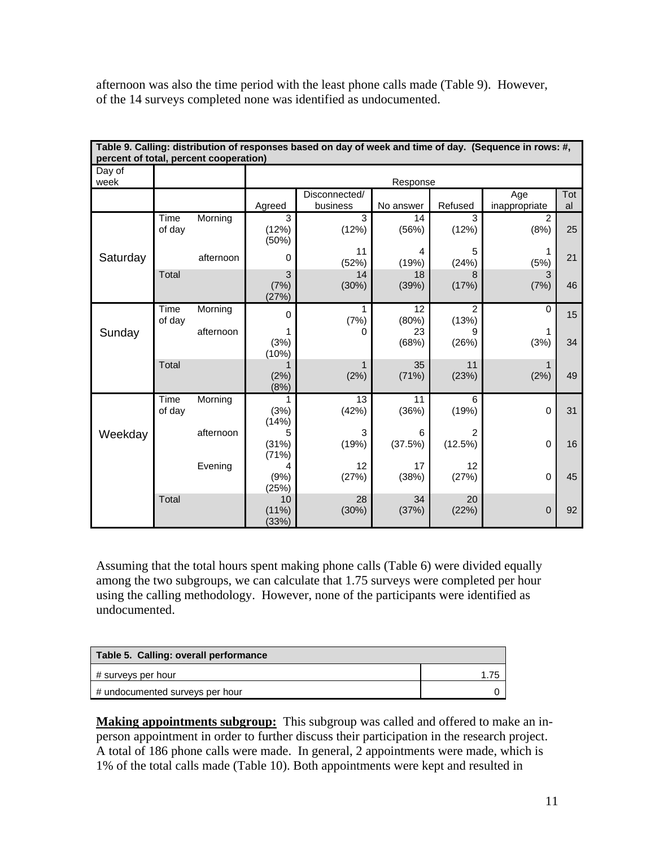afternoon was also the time period with the least phone calls made (Table 9). However, of the 14 surveys completed none was identified as undocumented.

| Table 9. Calling: distribution of responses based on day of week and time of day. (Sequence in rows: #,<br>percent of total, percent cooperation) |                |           |                         |                           |              |                         |                      |           |
|---------------------------------------------------------------------------------------------------------------------------------------------------|----------------|-----------|-------------------------|---------------------------|--------------|-------------------------|----------------------|-----------|
| Day of<br>week                                                                                                                                    |                |           | Response                |                           |              |                         |                      |           |
|                                                                                                                                                   |                |           | Agreed                  | Disconnected/<br>business | No answer    | Refused                 | Age<br>inappropriate | Tot<br>al |
|                                                                                                                                                   | Time<br>of day | Morning   | 3<br>(12%)<br>(50%)     | 3<br>(12%)                | 14<br>(56%)  | 3<br>(12%)              | 2<br>(8%)            | 25        |
| Saturday                                                                                                                                          |                | afternoon | 0                       | 11<br>(52%)               | 4<br>(19%)   | 5<br>(24%)              | (5%)                 | 21        |
|                                                                                                                                                   | Total          |           | 3<br>(7%)<br>(27%)      | 14<br>(30%)               | 18<br>(39%)  | 8<br>(17%)              | 3<br>(7%)            | 46        |
|                                                                                                                                                   | Time<br>of day | Morning   | $\Omega$                | $\mathbf{1}$<br>(7%)      | 12<br>(80%)  | $\overline{2}$<br>(13%) | $\Omega$             | 15        |
| Sunday                                                                                                                                            |                | afternoon | (3%)<br>(10%)           | O                         | 23<br>(68%)  | (26%)                   | (3%)                 | 34        |
|                                                                                                                                                   | Total          |           | (2%)<br>(8%)            | (2%)                      | 35<br>(71%)  | 11<br>(23%)             | 1<br>(2%)            | 49        |
|                                                                                                                                                   | Time<br>of day | Morning   | 1<br>(3%)<br>(14%)      | 13<br>(42%)               | 11<br>(36%)  | 6<br>(19%)              | $\Omega$             | 31        |
| Weekday                                                                                                                                           |                | afternoon | 5<br>(31%)<br>(71%)     | 3<br>(19%)                | 6<br>(37.5%) | 2<br>(12.5%)            | $\mathbf 0$          | 16        |
|                                                                                                                                                   |                | Evening   | 4<br>(9%)<br>(25%)      | 12<br>(27%)               | 17<br>(38%)  | 12<br>(27%)             | $\Omega$             | 45        |
|                                                                                                                                                   | Total          |           | 10<br>$(11\%)$<br>(33%) | 28<br>(30%)               | 34<br>(37%)  | 20<br>(22%)             | $\mathbf{0}$         | 92        |

Assuming that the total hours spent making phone calls (Table 6) were divided equally among the two subgroups, we can calculate that 1.75 surveys were completed per hour using the calling methodology. However, none of the participants were identified as undocumented.

| Table 5. Calling: overall performance |      |
|---------------------------------------|------|
| # surveys per hour                    | 1.75 |
| # undocumented surveys per hour       |      |

**Making appointments subgroup:** This subgroup was called and offered to make an inperson appointment in order to further discuss their participation in the research project. A total of 186 phone calls were made. In general, 2 appointments were made, which is 1% of the total calls made (Table 10). Both appointments were kept and resulted in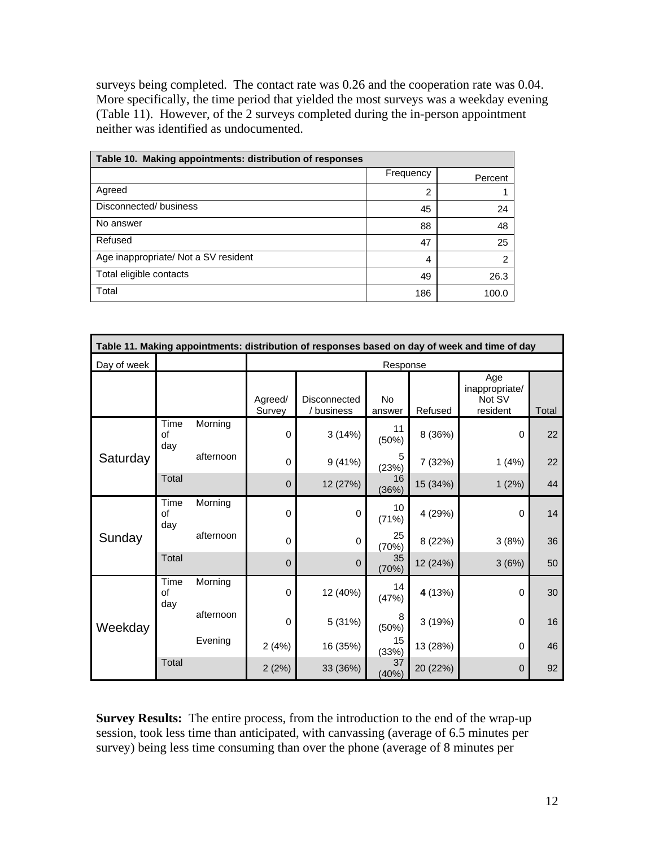surveys being completed. The contact rate was 0.26 and the cooperation rate was 0.04. More specifically, the time period that yielded the most surveys was a weekday evening (Table 11). However, of the 2 surveys completed during the in-person appointment neither was identified as undocumented.

| Table 10. Making appointments: distribution of responses |           |         |  |  |  |  |
|----------------------------------------------------------|-----------|---------|--|--|--|--|
|                                                          | Frequency | Percent |  |  |  |  |
| Agreed                                                   | 2         |         |  |  |  |  |
| Disconnected/business                                    | 45        | 24      |  |  |  |  |
| No answer                                                | 88        | 48      |  |  |  |  |
| Refused                                                  | 47        | 25      |  |  |  |  |
| Age inappropriate/ Not a SV resident                     | 4         | 2       |  |  |  |  |
| Total eligible contacts                                  | 49        | 26.3    |  |  |  |  |
| Total                                                    | 186       | 100.0   |  |  |  |  |

| Table 11. Making appointments: distribution of responses based on day of week and time of day |                   |           |                   |                            |                     |          |                                             |       |
|-----------------------------------------------------------------------------------------------|-------------------|-----------|-------------------|----------------------------|---------------------|----------|---------------------------------------------|-------|
| Day of week                                                                                   |                   |           | Response          |                            |                     |          |                                             |       |
|                                                                                               |                   |           | Agreed/<br>Survey | Disconnected<br>/ business | <b>No</b><br>answer | Refused  | Age<br>inappropriate/<br>Not SV<br>resident | Total |
| Saturday                                                                                      | Time<br>of<br>day | Morning   | $\Omega$          | 3(14%)                     | 11<br>(50%)         | 8 (36%)  | 0                                           | 22    |
|                                                                                               |                   | afternoon | $\Omega$          | 9(41%)                     | 5<br>(23%)          | 7 (32%)  | 1(4%)                                       | 22    |
|                                                                                               | Total             |           | $\mathbf 0$       | 12 (27%)                   | 16<br>(36%)         | 15 (34%) | 1(2%)                                       | 44    |
| Sunday                                                                                        | Time<br>of<br>day | Morning   | $\mathbf{0}$      | $\mathbf 0$                | 10<br>(71%)         | 4 (29%)  | 0                                           | 14    |
|                                                                                               |                   | afternoon | $\Omega$          | 0                          | 25<br>(70%)         | 8 (22%)  | 3(8%)                                       | 36    |
|                                                                                               | Total             |           | $\Omega$          | $\mathbf 0$                | 35<br>(70%)         | 12 (24%) | 3(6%)                                       | 50    |
| Weekday                                                                                       | Time<br>of<br>day | Morning   | $\mathbf 0$       | 12 (40%)                   | 14<br>(47%)         | 4 (13%)  | 0                                           | 30    |
|                                                                                               |                   | afternoon | $\mathbf 0$       | 5 (31%)                    | 8<br>(50%)          | 3(19%)   | 0                                           | 16    |
|                                                                                               | Evening           |           | 2(4%)             | 16 (35%)                   | 15<br>(33%)         | 13 (28%) | 0                                           | 46    |
|                                                                                               | Total             |           | 2(2%)             | 33 (36%)                   | 37<br>(40%)         | 20 (22%) | $\mathbf 0$                                 | 92    |

**Survey Results:** The entire process, from the introduction to the end of the wrap-up session, took less time than anticipated, with canvassing (average of 6.5 minutes per survey) being less time consuming than over the phone (average of 8 minutes per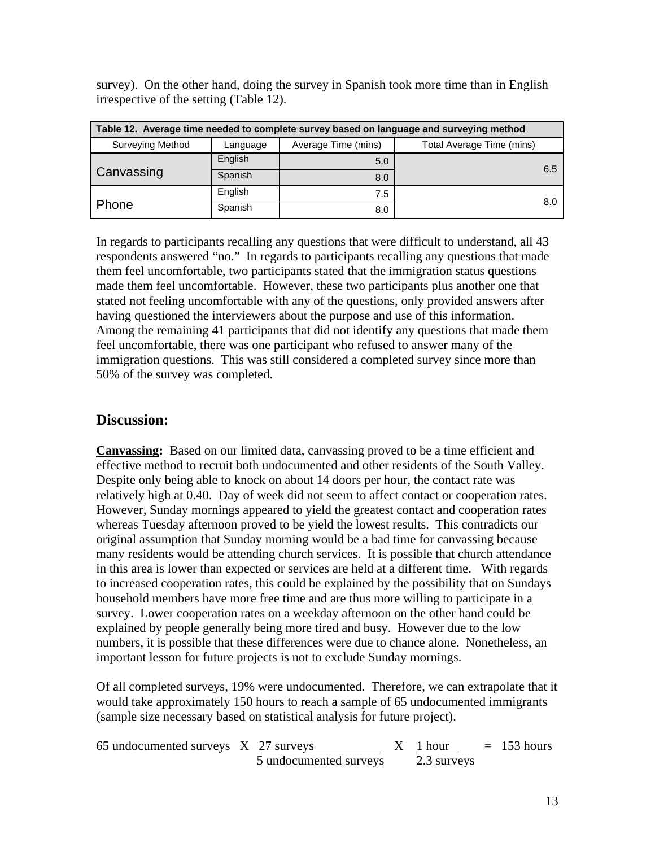| Table 12. Average time needed to complete survey based on language and surveying method |          |                     |                           |  |  |  |
|-----------------------------------------------------------------------------------------|----------|---------------------|---------------------------|--|--|--|
| <b>Surveying Method</b>                                                                 | Language | Average Time (mins) | Total Average Time (mins) |  |  |  |
|                                                                                         | English  | 5.0                 |                           |  |  |  |
| Canvassing                                                                              | Spanish  | 8.0                 | 6.5                       |  |  |  |
|                                                                                         | English  | 7.5                 |                           |  |  |  |
| Phone                                                                                   | Spanish  | 8.0                 | 8.0                       |  |  |  |

survey). On the other hand, doing the survey in Spanish took more time than in English irrespective of the setting (Table 12).

In regards to participants recalling any questions that were difficult to understand, all 43 respondents answered "no." In regards to participants recalling any questions that made them feel uncomfortable, two participants stated that the immigration status questions made them feel uncomfortable. However, these two participants plus another one that stated not feeling uncomfortable with any of the questions, only provided answers after having questioned the interviewers about the purpose and use of this information. Among the remaining 41 participants that did not identify any questions that made them feel uncomfortable, there was one participant who refused to answer many of the immigration questions. This was still considered a completed survey since more than 50% of the survey was completed.

# **Discussion:**

**Canvassing:** Based on our limited data, canvassing proved to be a time efficient and effective method to recruit both undocumented and other residents of the South Valley. Despite only being able to knock on about 14 doors per hour, the contact rate was relatively high at 0.40. Day of week did not seem to affect contact or cooperation rates. However, Sunday mornings appeared to yield the greatest contact and cooperation rates whereas Tuesday afternoon proved to be yield the lowest results. This contradicts our original assumption that Sunday morning would be a bad time for canvassing because many residents would be attending church services. It is possible that church attendance in this area is lower than expected or services are held at a different time. With regards to increased cooperation rates, this could be explained by the possibility that on Sundays household members have more free time and are thus more willing to participate in a survey. Lower cooperation rates on a weekday afternoon on the other hand could be explained by people generally being more tired and busy. However due to the low numbers, it is possible that these differences were due to chance alone. Nonetheless, an important lesson for future projects is not to exclude Sunday mornings.

Of all completed surveys, 19% were undocumented. Therefore, we can extrapolate that it would take approximately 150 hours to reach a sample of 65 undocumented immigrants (sample size necessary based on statistical analysis for future project).

| 65 undocumented surveys X 27 surveys |                        | $X \sim 1$ hour | $= 153$ hours |
|--------------------------------------|------------------------|-----------------|---------------|
|                                      | 5 undocumented surveys | 2.3 surveys     |               |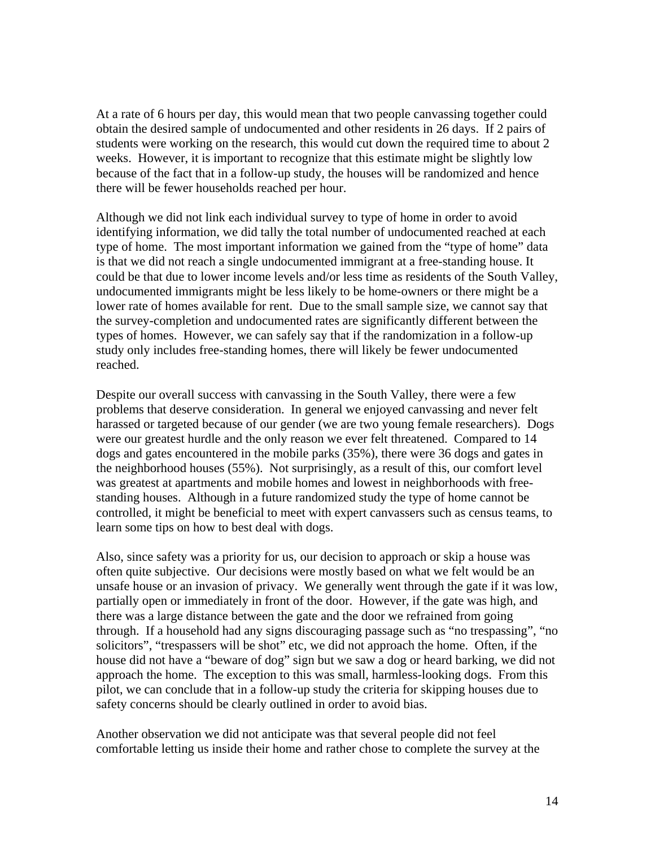At a rate of 6 hours per day, this would mean that two people canvassing together could obtain the desired sample of undocumented and other residents in 26 days. If 2 pairs of students were working on the research, this would cut down the required time to about 2 weeks. However, it is important to recognize that this estimate might be slightly low because of the fact that in a follow-up study, the houses will be randomized and hence there will be fewer households reached per hour.

Although we did not link each individual survey to type of home in order to avoid identifying information, we did tally the total number of undocumented reached at each type of home. The most important information we gained from the "type of home" data is that we did not reach a single undocumented immigrant at a free-standing house. It could be that due to lower income levels and/or less time as residents of the South Valley, undocumented immigrants might be less likely to be home-owners or there might be a lower rate of homes available for rent. Due to the small sample size, we cannot say that the survey-completion and undocumented rates are significantly different between the types of homes. However, we can safely say that if the randomization in a follow-up study only includes free-standing homes, there will likely be fewer undocumented reached.

Despite our overall success with canvassing in the South Valley, there were a few problems that deserve consideration. In general we enjoyed canvassing and never felt harassed or targeted because of our gender (we are two young female researchers). Dogs were our greatest hurdle and the only reason we ever felt threatened. Compared to 14 dogs and gates encountered in the mobile parks (35%), there were 36 dogs and gates in the neighborhood houses (55%). Not surprisingly, as a result of this, our comfort level was greatest at apartments and mobile homes and lowest in neighborhoods with freestanding houses. Although in a future randomized study the type of home cannot be controlled, it might be beneficial to meet with expert canvassers such as census teams, to learn some tips on how to best deal with dogs.

Also, since safety was a priority for us, our decision to approach or skip a house was often quite subjective. Our decisions were mostly based on what we felt would be an unsafe house or an invasion of privacy. We generally went through the gate if it was low, partially open or immediately in front of the door. However, if the gate was high, and there was a large distance between the gate and the door we refrained from going through. If a household had any signs discouraging passage such as "no trespassing", "no solicitors", "trespassers will be shot" etc, we did not approach the home. Often, if the house did not have a "beware of dog" sign but we saw a dog or heard barking, we did not approach the home. The exception to this was small, harmless-looking dogs. From this pilot, we can conclude that in a follow-up study the criteria for skipping houses due to safety concerns should be clearly outlined in order to avoid bias.

Another observation we did not anticipate was that several people did not feel comfortable letting us inside their home and rather chose to complete the survey at the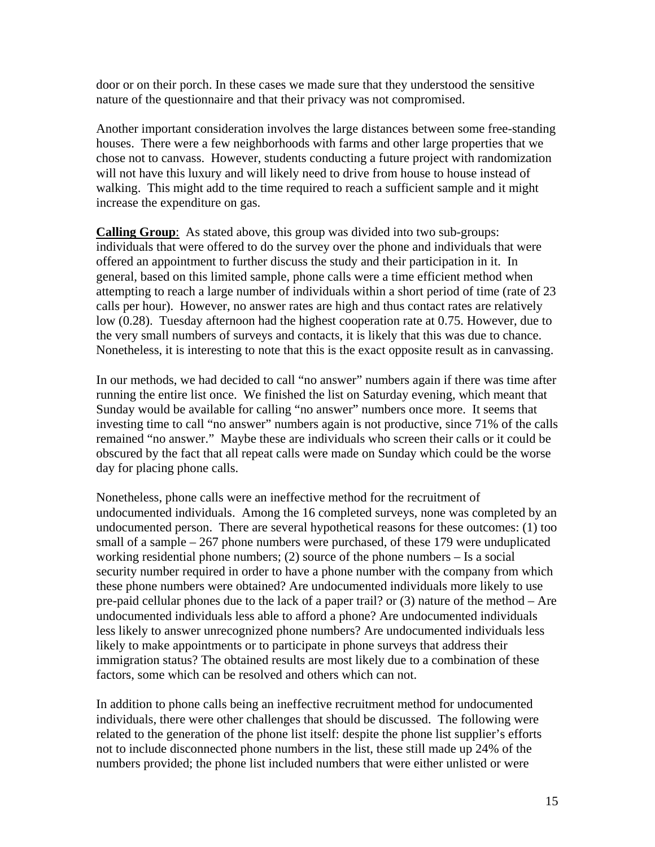door or on their porch. In these cases we made sure that they understood the sensitive nature of the questionnaire and that their privacy was not compromised.

Another important consideration involves the large distances between some free-standing houses. There were a few neighborhoods with farms and other large properties that we chose not to canvass. However, students conducting a future project with randomization will not have this luxury and will likely need to drive from house to house instead of walking. This might add to the time required to reach a sufficient sample and it might increase the expenditure on gas.

**Calling Group**: As stated above, this group was divided into two sub-groups: individuals that were offered to do the survey over the phone and individuals that were offered an appointment to further discuss the study and their participation in it. In general, based on this limited sample, phone calls were a time efficient method when attempting to reach a large number of individuals within a short period of time (rate of 23 calls per hour). However, no answer rates are high and thus contact rates are relatively low (0.28). Tuesday afternoon had the highest cooperation rate at 0.75. However, due to the very small numbers of surveys and contacts, it is likely that this was due to chance. Nonetheless, it is interesting to note that this is the exact opposite result as in canvassing.

In our methods, we had decided to call "no answer" numbers again if there was time after running the entire list once. We finished the list on Saturday evening, which meant that Sunday would be available for calling "no answer" numbers once more. It seems that investing time to call "no answer" numbers again is not productive, since 71% of the calls remained "no answer." Maybe these are individuals who screen their calls or it could be obscured by the fact that all repeat calls were made on Sunday which could be the worse day for placing phone calls.

Nonetheless, phone calls were an ineffective method for the recruitment of undocumented individuals. Among the 16 completed surveys, none was completed by an undocumented person. There are several hypothetical reasons for these outcomes: (1) too small of a sample – 267 phone numbers were purchased, of these 179 were unduplicated working residential phone numbers; (2) source of the phone numbers – Is a social security number required in order to have a phone number with the company from which these phone numbers were obtained? Are undocumented individuals more likely to use pre-paid cellular phones due to the lack of a paper trail? or  $(3)$  nature of the method – Are undocumented individuals less able to afford a phone? Are undocumented individuals less likely to answer unrecognized phone numbers? Are undocumented individuals less likely to make appointments or to participate in phone surveys that address their immigration status? The obtained results are most likely due to a combination of these factors, some which can be resolved and others which can not.

In addition to phone calls being an ineffective recruitment method for undocumented individuals, there were other challenges that should be discussed. The following were related to the generation of the phone list itself: despite the phone list supplier's efforts not to include disconnected phone numbers in the list, these still made up 24% of the numbers provided; the phone list included numbers that were either unlisted or were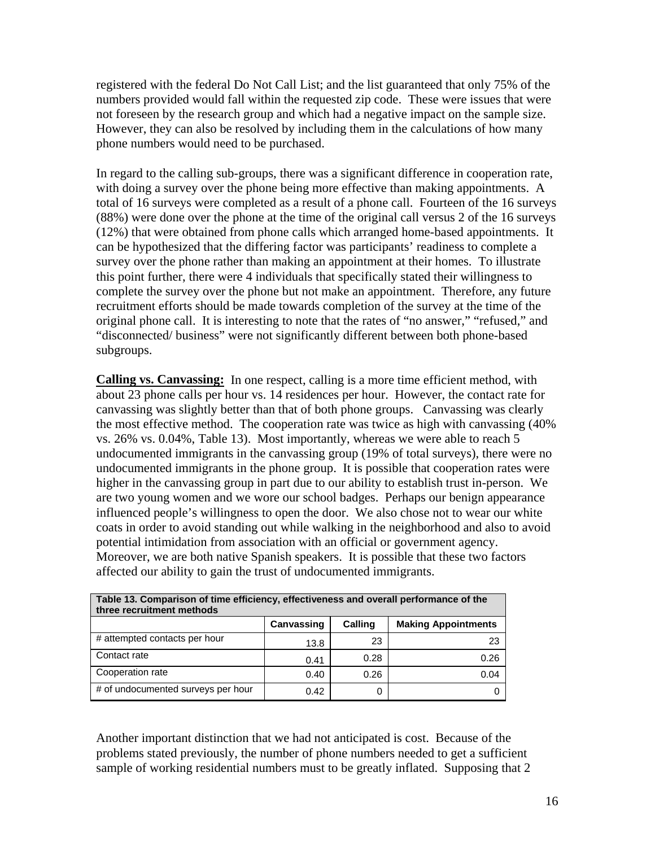registered with the federal Do Not Call List; and the list guaranteed that only 75% of the numbers provided would fall within the requested zip code. These were issues that were not foreseen by the research group and which had a negative impact on the sample size. However, they can also be resolved by including them in the calculations of how many phone numbers would need to be purchased.

In regard to the calling sub-groups, there was a significant difference in cooperation rate, with doing a survey over the phone being more effective than making appointments. A total of 16 surveys were completed as a result of a phone call. Fourteen of the 16 surveys (88%) were done over the phone at the time of the original call versus 2 of the 16 surveys (12%) that were obtained from phone calls which arranged home-based appointments. It can be hypothesized that the differing factor was participants' readiness to complete a survey over the phone rather than making an appointment at their homes. To illustrate this point further, there were 4 individuals that specifically stated their willingness to complete the survey over the phone but not make an appointment. Therefore, any future recruitment efforts should be made towards completion of the survey at the time of the original phone call. It is interesting to note that the rates of "no answer," "refused," and "disconnected/ business" were not significantly different between both phone-based subgroups.

**Calling vs. Canvassing:** In one respect, calling is a more time efficient method, with about 23 phone calls per hour vs. 14 residences per hour. However, the contact rate for canvassing was slightly better than that of both phone groups. Canvassing was clearly the most effective method. The cooperation rate was twice as high with canvassing (40% vs. 26% vs. 0.04%, Table 13). Most importantly, whereas we were able to reach 5 undocumented immigrants in the canvassing group (19% of total surveys), there were no undocumented immigrants in the phone group. It is possible that cooperation rates were higher in the canvassing group in part due to our ability to establish trust in-person. We are two young women and we wore our school badges. Perhaps our benign appearance influenced people's willingness to open the door. We also chose not to wear our white coats in order to avoid standing out while walking in the neighborhood and also to avoid potential intimidation from association with an official or government agency. Moreover, we are both native Spanish speakers. It is possible that these two factors affected our ability to gain the trust of undocumented immigrants.

| Table 13. Comparison of time efficiency, effectiveness and overall performance of the<br>three recruitment methods |            |                |                            |  |  |  |
|--------------------------------------------------------------------------------------------------------------------|------------|----------------|----------------------------|--|--|--|
|                                                                                                                    | Canvassing | <b>Calling</b> | <b>Making Appointments</b> |  |  |  |
| # attempted contacts per hour                                                                                      | 13.8       | 23             | 23                         |  |  |  |
| Contact rate                                                                                                       | 0.41       | 0.28           | 0.26                       |  |  |  |
| Cooperation rate                                                                                                   | 0.40       | 0.26           | 0.04                       |  |  |  |
| # of undocumented surveys per hour                                                                                 | 0.42       |                |                            |  |  |  |

Another important distinction that we had not anticipated is cost. Because of the problems stated previously, the number of phone numbers needed to get a sufficient sample of working residential numbers must to be greatly inflated. Supposing that 2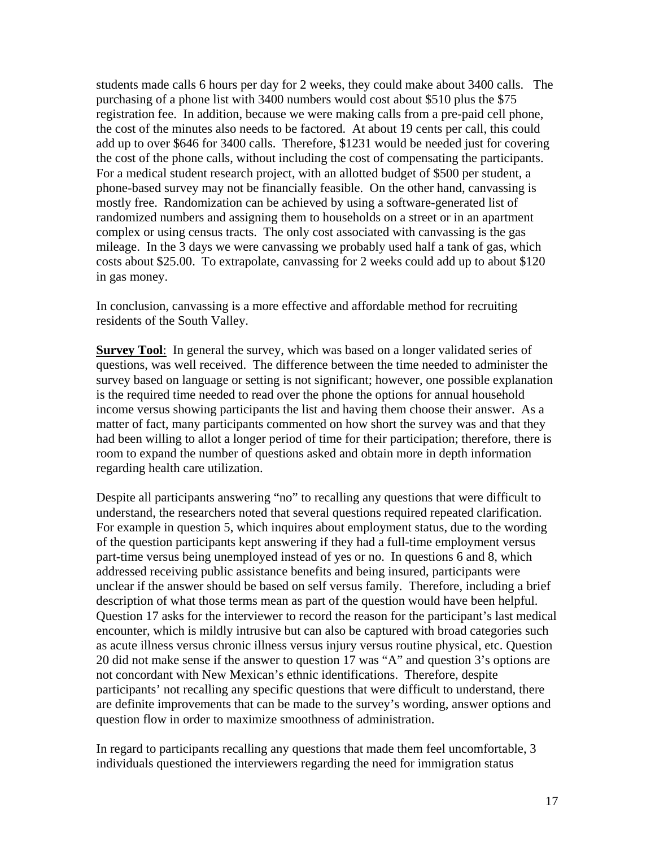students made calls 6 hours per day for 2 weeks, they could make about 3400 calls. The purchasing of a phone list with 3400 numbers would cost about \$510 plus the \$75 registration fee. In addition, because we were making calls from a pre-paid cell phone, the cost of the minutes also needs to be factored. At about 19 cents per call, this could add up to over \$646 for 3400 calls. Therefore, \$1231 would be needed just for covering the cost of the phone calls, without including the cost of compensating the participants. For a medical student research project, with an allotted budget of \$500 per student, a phone-based survey may not be financially feasible. On the other hand, canvassing is mostly free. Randomization can be achieved by using a software-generated list of randomized numbers and assigning them to households on a street or in an apartment complex or using census tracts. The only cost associated with canvassing is the gas mileage. In the 3 days we were canvassing we probably used half a tank of gas, which costs about \$25.00. To extrapolate, canvassing for 2 weeks could add up to about \$120 in gas money.

In conclusion, canvassing is a more effective and affordable method for recruiting residents of the South Valley.

**Survey Tool**: In general the survey, which was based on a longer validated series of questions, was well received. The difference between the time needed to administer the survey based on language or setting is not significant; however, one possible explanation is the required time needed to read over the phone the options for annual household income versus showing participants the list and having them choose their answer. As a matter of fact, many participants commented on how short the survey was and that they had been willing to allot a longer period of time for their participation; therefore, there is room to expand the number of questions asked and obtain more in depth information regarding health care utilization.

Despite all participants answering "no" to recalling any questions that were difficult to understand, the researchers noted that several questions required repeated clarification. For example in question 5, which inquires about employment status, due to the wording of the question participants kept answering if they had a full-time employment versus part-time versus being unemployed instead of yes or no. In questions 6 and 8, which addressed receiving public assistance benefits and being insured, participants were unclear if the answer should be based on self versus family. Therefore, including a brief description of what those terms mean as part of the question would have been helpful. Question 17 asks for the interviewer to record the reason for the participant's last medical encounter, which is mildly intrusive but can also be captured with broad categories such as acute illness versus chronic illness versus injury versus routine physical, etc. Question 20 did not make sense if the answer to question 17 was "A" and question 3's options are not concordant with New Mexican's ethnic identifications. Therefore, despite participants' not recalling any specific questions that were difficult to understand, there are definite improvements that can be made to the survey's wording, answer options and question flow in order to maximize smoothness of administration.

In regard to participants recalling any questions that made them feel uncomfortable, 3 individuals questioned the interviewers regarding the need for immigration status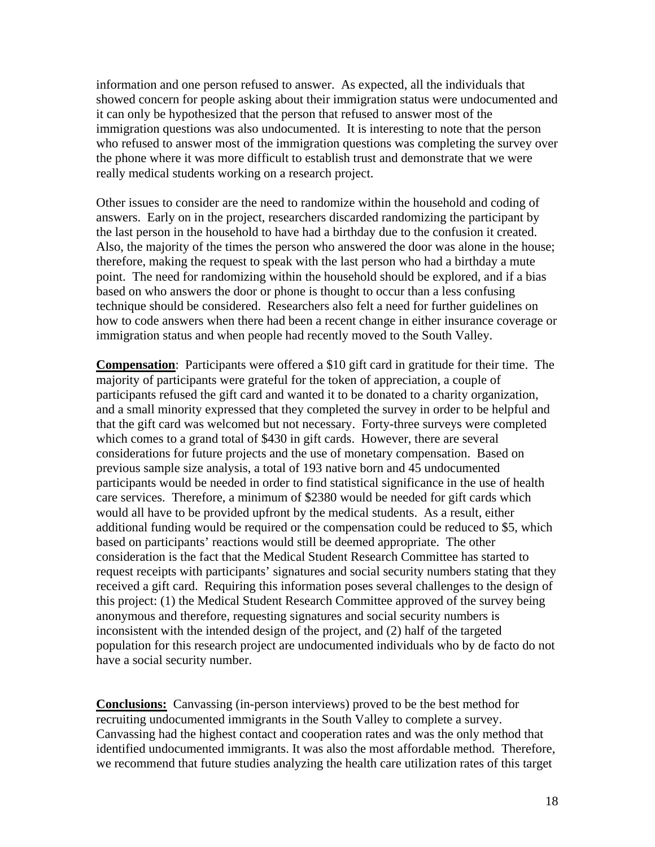information and one person refused to answer. As expected, all the individuals that showed concern for people asking about their immigration status were undocumented and it can only be hypothesized that the person that refused to answer most of the immigration questions was also undocumented. It is interesting to note that the person who refused to answer most of the immigration questions was completing the survey over the phone where it was more difficult to establish trust and demonstrate that we were really medical students working on a research project.

Other issues to consider are the need to randomize within the household and coding of answers. Early on in the project, researchers discarded randomizing the participant by the last person in the household to have had a birthday due to the confusion it created. Also, the majority of the times the person who answered the door was alone in the house; therefore, making the request to speak with the last person who had a birthday a mute point. The need for randomizing within the household should be explored, and if a bias based on who answers the door or phone is thought to occur than a less confusing technique should be considered. Researchers also felt a need for further guidelines on how to code answers when there had been a recent change in either insurance coverage or immigration status and when people had recently moved to the South Valley.

**Compensation**: Participants were offered a \$10 gift card in gratitude for their time. The majority of participants were grateful for the token of appreciation, a couple of participants refused the gift card and wanted it to be donated to a charity organization, and a small minority expressed that they completed the survey in order to be helpful and that the gift card was welcomed but not necessary. Forty-three surveys were completed which comes to a grand total of \$430 in gift cards. However, there are several considerations for future projects and the use of monetary compensation. Based on previous sample size analysis, a total of 193 native born and 45 undocumented participants would be needed in order to find statistical significance in the use of health care services. Therefore, a minimum of \$2380 would be needed for gift cards which would all have to be provided upfront by the medical students. As a result, either additional funding would be required or the compensation could be reduced to \$5, which based on participants' reactions would still be deemed appropriate. The other consideration is the fact that the Medical Student Research Committee has started to request receipts with participants' signatures and social security numbers stating that they received a gift card. Requiring this information poses several challenges to the design of this project: (1) the Medical Student Research Committee approved of the survey being anonymous and therefore, requesting signatures and social security numbers is inconsistent with the intended design of the project, and (2) half of the targeted population for this research project are undocumented individuals who by de facto do not have a social security number.

**Conclusions:** Canvassing (in-person interviews) proved to be the best method for recruiting undocumented immigrants in the South Valley to complete a survey. Canvassing had the highest contact and cooperation rates and was the only method that identified undocumented immigrants. It was also the most affordable method. Therefore, we recommend that future studies analyzing the health care utilization rates of this target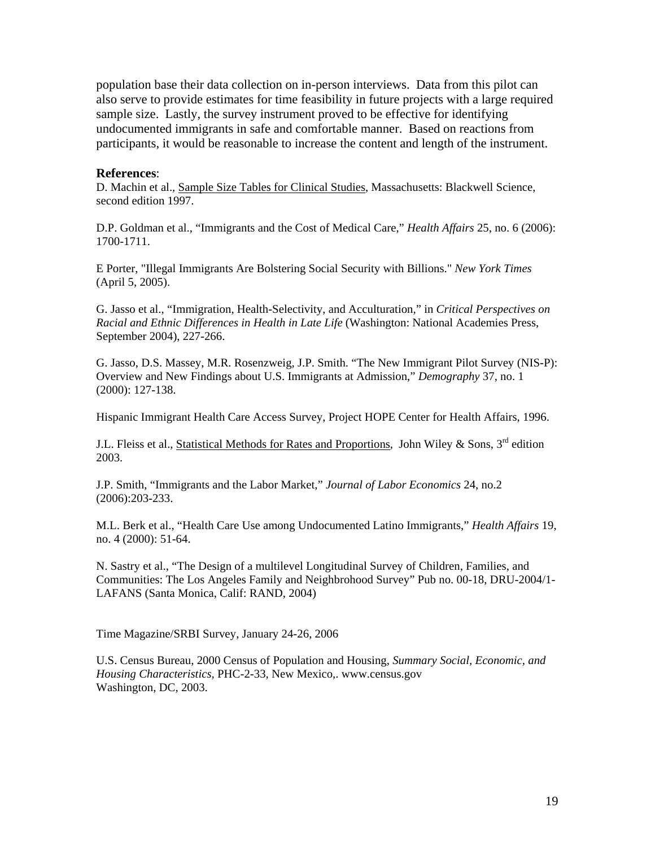population base their data collection on in-person interviews. Data from this pilot can also serve to provide estimates for time feasibility in future projects with a large required sample size. Lastly, the survey instrument proved to be effective for identifying undocumented immigrants in safe and comfortable manner. Based on reactions from participants, it would be reasonable to increase the content and length of the instrument.

#### **References**:

D. Machin et al., Sample Size Tables for Clinical Studies, Massachusetts: Blackwell Science, second edition 1997.

D.P. Goldman et al., "Immigrants and the Cost of Medical Care," *Health Affairs* 25, no. 6 (2006): 1700-1711.

E Porter, "Illegal Immigrants Are Bolstering Social Security with Billions." *New York Times* (April 5, 2005).

G. Jasso et al., "Immigration, Health-Selectivity, and Acculturation," in *Critical Perspectives on Racial and Ethnic Differences in Health in Late Life* (Washington: National Academies Press, September 2004), 227-266.

G. Jasso, D.S. Massey, M.R. Rosenzweig, J.P. Smith. "The New Immigrant Pilot Survey (NIS-P): Overview and New Findings about U.S. Immigrants at Admission," *Demography* 37, no. 1 (2000): 127-138.

Hispanic Immigrant Health Care Access Survey, Project HOPE Center for Health Affairs, 1996.

J.L. Fleiss et al., Statistical Methods for Rates and Proportions, John Wiley & Sons, 3<sup>rd</sup> edition 2003.

J.P. Smith, "Immigrants and the Labor Market," *Journal of Labor Economics* 24, no.2 (2006):203-233.

M.L. Berk et al., "Health Care Use among Undocumented Latino Immigrants," *Health Affairs* 19, no. 4 (2000): 51-64.

N. Sastry et al., "The Design of a multilevel Longitudinal Survey of Children, Families, and Communities: The Los Angeles Family and Neighbrohood Survey" Pub no. 00-18, DRU-2004/1- LAFANS (Santa Monica, Calif: RAND, 2004)

Time Magazine/SRBI Survey, January 24-26, 2006

U.S. Census Bureau, 2000 Census of Population and Housing, *Summary Social, Economic, and Housing Characteristics,* PHC-2-33, New Mexico,. www.census.gov Washington, DC, 2003.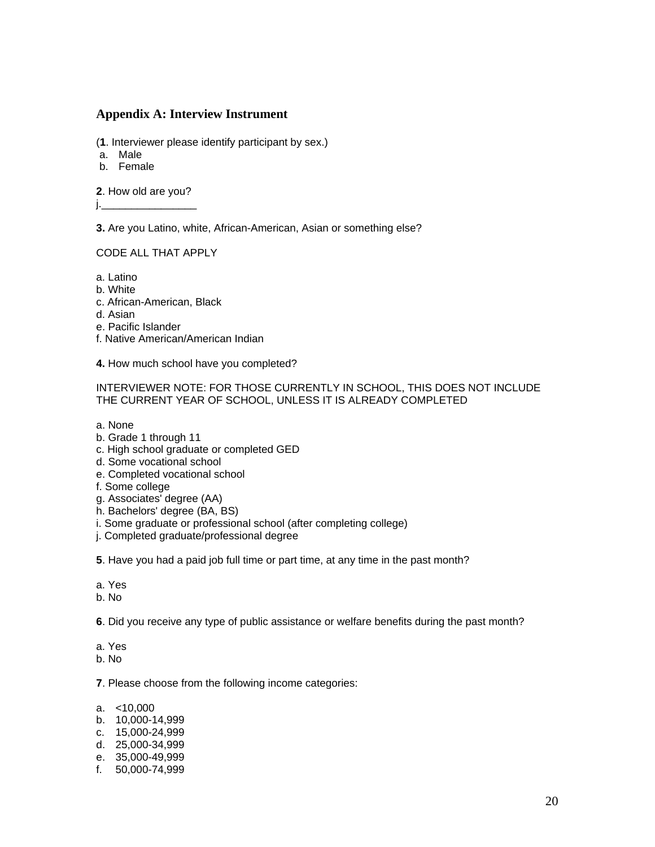#### **Appendix A: Interview Instrument**

- (**1**. Interviewer please identify participant by sex.)
- a. Male
- b. Female

**2**. How old are you?

j.\_\_\_\_\_\_\_\_\_\_\_\_\_\_\_\_

**3.** Are you Latino, white, African-American, Asian or something else?

CODE ALL THAT APPLY

a. Latino

- b. White
- c. African-American, Black
- d. Asian
- e. Pacific Islander
- f. Native American/American Indian
- **4.** How much school have you completed?

INTERVIEWER NOTE: FOR THOSE CURRENTLY IN SCHOOL, THIS DOES NOT INCLUDE THE CURRENT YEAR OF SCHOOL, UNLESS IT IS ALREADY COMPLETED

- a. None
- b. Grade 1 through 11
- c. High school graduate or completed GED
- d. Some vocational school
- e. Completed vocational school
- f. Some college
- g. Associates' degree (AA)
- h. Bachelors' degree (BA, BS)
- i. Some graduate or professional school (after completing college)
- j. Completed graduate/professional degree
- **5**. Have you had a paid job full time or part time, at any time in the past month?
- a. Yes
- b. No

**6**. Did you receive any type of public assistance or welfare benefits during the past month?

- a. Yes
- b. No

**7**. Please choose from the following income categories:

- a. <10,000
- b. 10,000-14,999
- c. 15,000-24,999
- d. 25,000-34,999
- e. 35,000-49,999
- f. 50,000-74,999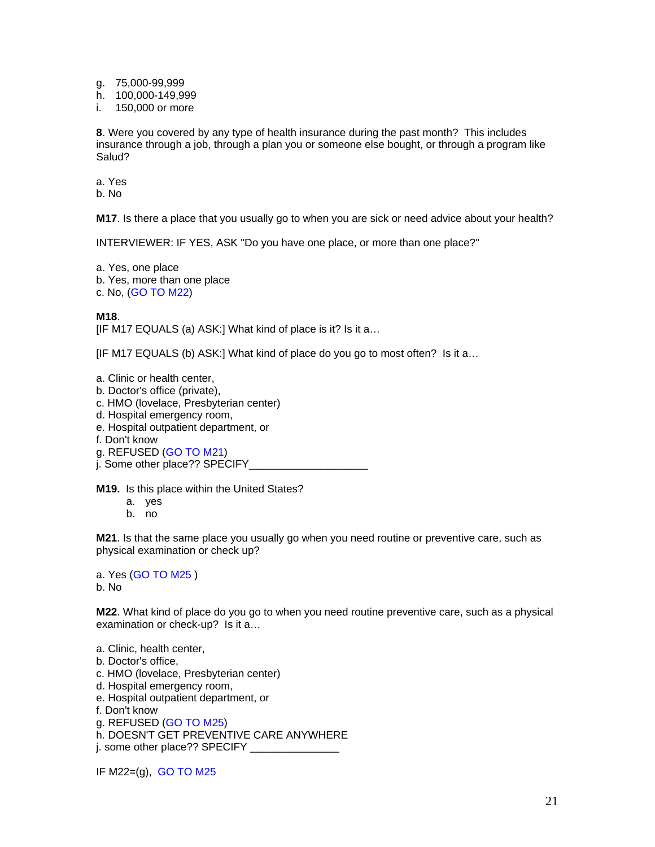g. 75,000-99,999

h. 100,000-149,999

i. 150,000 or more

**8**. Were you covered by any type of health insurance during the past month? This includes insurance through a job, through a plan you or someone else bought, or through a program like Salud?

a. Yes

b. No

**M17**. Is there a place that you usually go to when you are sick or need advice about your health?

INTERVIEWER: IF YES, ASK "Do you have one place, or more than one place?"

a. Yes, one place b. Yes, more than one place c. No, (GO TO M22)

**M18**.

[IF M17 EQUALS (a) ASK:] What kind of place is it? Is it a…

[IF M17 EQUALS (b) ASK:] What kind of place do you go to most often? Is it a...

a. Clinic or health center,

b. Doctor's office (private),

c. HMO (lovelace, Presbyterian center)

d. Hospital emergency room,

- e. Hospital outpatient department, or
- f. Don't know

g. REFUSED (GO TO M21)

j. Some other place?? SPECIFY\_

**M19.** Is this place within the United States?

- a. yes
- b. no

**M21**. Is that the same place you usually go when you need routine or preventive care, such as physical examination or check up?

a. Yes (GO TO M25 ) b. No

**M22**. What kind of place do you go to when you need routine preventive care, such as a physical examination or check-up? Is it a…

a. Clinic, health center,

- b. Doctor's office,
- c. HMO (lovelace, Presbyterian center)
- d. Hospital emergency room,
- e. Hospital outpatient department, or
- f. Don't know

g. REFUSED (GO TO M25)

h. DOESN'T GET PREVENTIVE CARE ANYWHERE

j. some other place?? SPECIFY \_\_\_\_\_\_\_\_\_\_\_\_\_\_\_

IF M22=(g), GO TO M25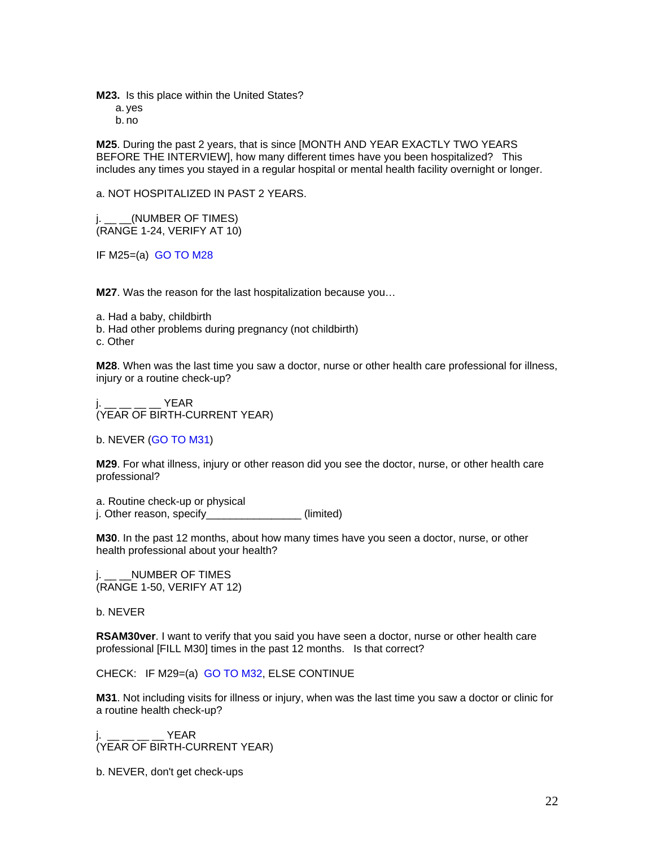**M23.** Is this place within the United States?

a. yes

b. no

**M25**. During the past 2 years, that is since [MONTH AND YEAR EXACTLY TWO YEARS BEFORE THE INTERVIEW], how many different times have you been hospitalized? This includes any times you stayed in a regular hospital or mental health facility overnight or longer.

a. NOT HOSPITALIZED IN PAST 2 YEARS.

 $j.$  \_\_  $\angle$ (NUMBER OF TIMES) (RANGE 1-24, VERIFY AT 10)

IF M25=(a) GO TO M28

**M27**. Was the reason for the last hospitalization because you…

a. Had a baby, childbirth

b. Had other problems during pregnancy (not childbirth)

c. Other

**M28**. When was the last time you saw a doctor, nurse or other health care professional for illness, injury or a routine check-up?

i.  $YEAR$ (YEAR OF BIRTH-CURRENT YEAR)

b. NEVER (GO TO M31)

**M29**. For what illness, injury or other reason did you see the doctor, nurse, or other health care professional?

a. Routine check-up or physical j. Other reason, specify\_\_\_\_\_\_\_\_\_\_\_\_\_\_\_\_(limited)

**M30**. In the past 12 months, about how many times have you seen a doctor, nurse, or other health professional about your health?

j. \_\_ \_\_NUMBER OF TIMES (RANGE 1-50, VERIFY AT 12)

b. NEVER

**RSAM30ver**. I want to verify that you said you have seen a doctor, nurse or other health care professional [FILL M30] times in the past 12 months. Is that correct?

CHECK: IF M29=(a) GO TO M32, ELSE CONTINUE

**M31**. Not including visits for illness or injury, when was the last time you saw a doctor or clinic for a routine health check-up?

j.  $\frac{1}{2}$   $\frac{1}{2}$   $\frac{1}{2}$   $\frac{1}{2}$   $\frac{1}{2}$   $\frac{1}{2}$   $\frac{1}{2}$   $\frac{1}{2}$   $\frac{1}{2}$   $\frac{1}{2}$   $\frac{1}{2}$   $\frac{1}{2}$   $\frac{1}{2}$   $\frac{1}{2}$   $\frac{1}{2}$   $\frac{1}{2}$   $\frac{1}{2}$   $\frac{1}{2}$   $\frac{1}{2}$   $\frac{1}{2}$   $\frac{1}{2}$   $\frac{1}{2}$ (YEAR OF BIRTH-CURRENT YEAR)

b. NEVER, don't get check-ups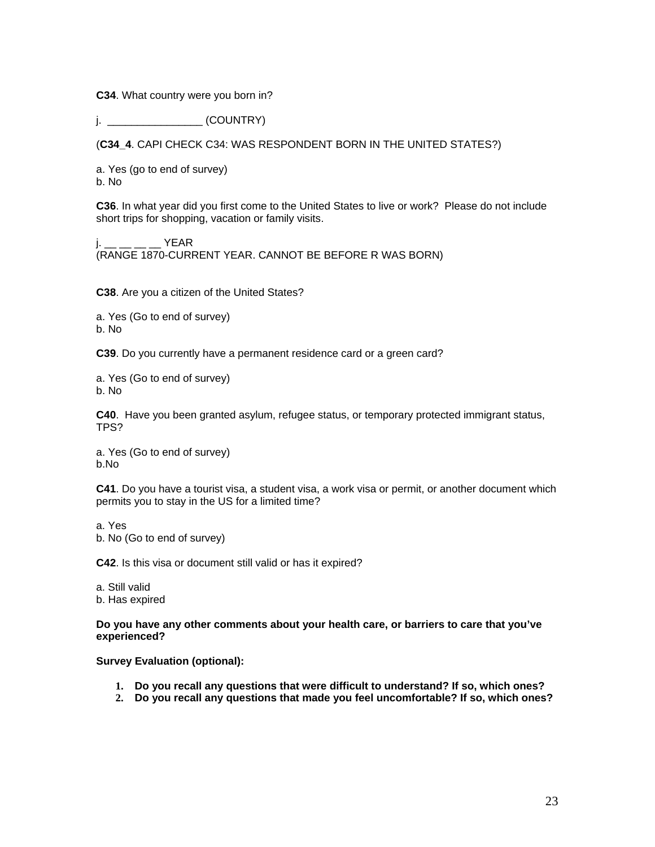**C34**. What country were you born in?

j. \_\_\_\_\_\_\_\_\_\_\_\_\_\_\_\_ (COUNTRY)

(**C34\_4**. CAPI CHECK C34: WAS RESPONDENT BORN IN THE UNITED STATES?)

a. Yes (go to end of survey) b. No

**C36**. In what year did you first come to the United States to live or work? Please do not include short trips for shopping, vacation or family visits.

j.  $\_\_$   $\_\_$   $\_\_$  YEAR (RANGE 1870-CURRENT YEAR. CANNOT BE BEFORE R WAS BORN)

**C38**. Are you a citizen of the United States?

a. Yes (Go to end of survey) b. No

**C39**. Do you currently have a permanent residence card or a green card?

a. Yes (Go to end of survey) b. No

**C40**. Have you been granted asylum, refugee status, or temporary protected immigrant status, TPS?

a. Yes (Go to end of survey) b.No

**C41**. Do you have a tourist visa, a student visa, a work visa or permit, or another document which permits you to stay in the US for a limited time?

a. Yes

b. No (Go to end of survey)

**C42**. Is this visa or document still valid or has it expired?

a. Still valid b. Has expired

**Do you have any other comments about your health care, or barriers to care that you've experienced?** 

**Survey Evaluation (optional):** 

- **1. Do you recall any questions that were difficult to understand? If so, which ones?**
- **2. Do you recall any questions that made you feel uncomfortable? If so, which ones?**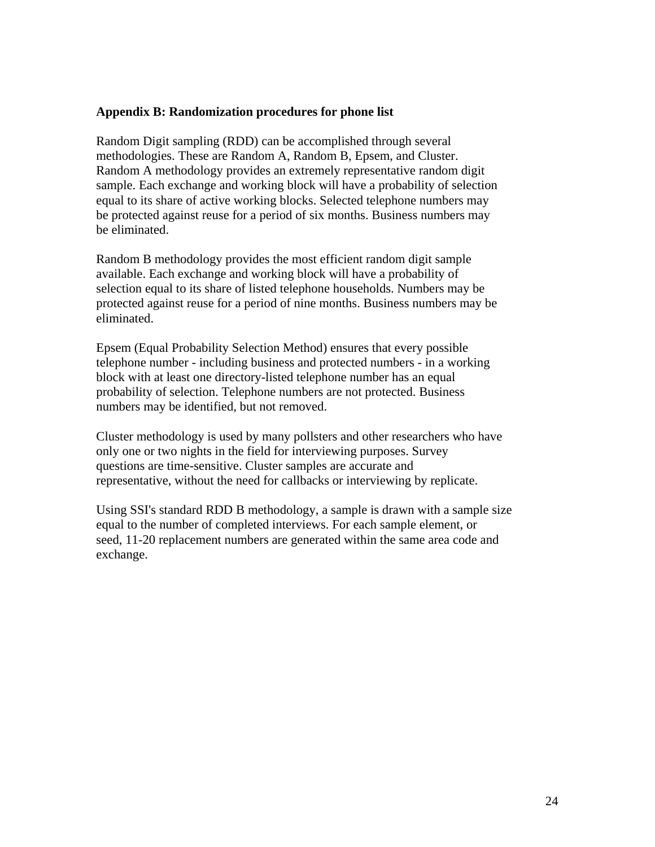## **Appendix B: Randomization procedures for phone list**

Random Digit sampling (RDD) can be accomplished through several methodologies. These are Random A, Random B, Epsem, and Cluster. Random A methodology provides an extremely representative random digit sample. Each exchange and working block will have a probability of selection equal to its share of active working blocks. Selected telephone numbers may be protected against reuse for a period of six months. Business numbers may be eliminated.

Random B methodology provides the most efficient random digit sample available. Each exchange and working block will have a probability of selection equal to its share of listed telephone households. Numbers may be protected against reuse for a period of nine months. Business numbers may be eliminated.

Epsem (Equal Probability Selection Method) ensures that every possible telephone number - including business and protected numbers - in a working block with at least one directory-listed telephone number has an equal probability of selection. Telephone numbers are not protected. Business numbers may be identified, but not removed.

Cluster methodology is used by many pollsters and other researchers who have only one or two nights in the field for interviewing purposes. Survey questions are time-sensitive. Cluster samples are accurate and representative, without the need for callbacks or interviewing by replicate.

Using SSI's standard RDD B methodology, a sample is drawn with a sample size equal to the number of completed interviews. For each sample element, or seed, 11-20 replacement numbers are generated within the same area code and exchange.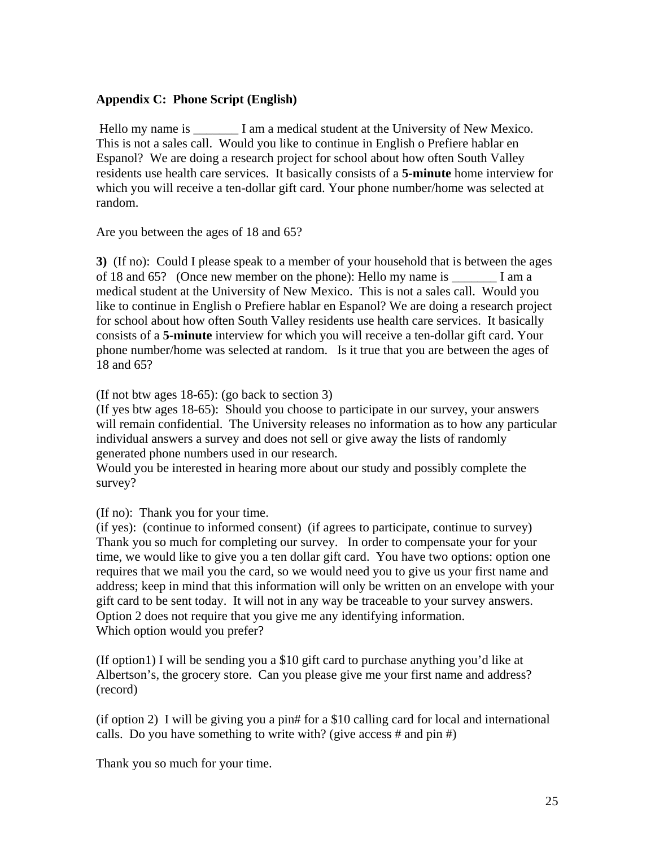# **Appendix C: Phone Script (English)**

Hello my name is  $\qquad$  I am a medical student at the University of New Mexico. This is not a sales call. Would you like to continue in English o Prefiere hablar en Espanol? We are doing a research project for school about how often South Valley residents use health care services. It basically consists of a **5-minute** home interview for which you will receive a ten-dollar gift card. Your phone number/home was selected at random.

Are you between the ages of 18 and 65?

**3)** (If no): Could I please speak to a member of your household that is between the ages of 18 and 65? (Once new member on the phone): Hello my name is I am a medical student at the University of New Mexico. This is not a sales call. Would you like to continue in English o Prefiere hablar en Espanol? We are doing a research project for school about how often South Valley residents use health care services. It basically consists of a **5-minute** interview for which you will receive a ten-dollar gift card. Your phone number/home was selected at random. Is it true that you are between the ages of 18 and 65?

(If not btw ages 18-65): (go back to section 3)

(If yes btw ages 18-65): Should you choose to participate in our survey, your answers will remain confidential. The University releases no information as to how any particular individual answers a survey and does not sell or give away the lists of randomly generated phone numbers used in our research.

Would you be interested in hearing more about our study and possibly complete the survey?

(If no): Thank you for your time.

(if yes): (continue to informed consent) (if agrees to participate, continue to survey) Thank you so much for completing our survey. In order to compensate your for your time, we would like to give you a ten dollar gift card. You have two options: option one requires that we mail you the card, so we would need you to give us your first name and address; keep in mind that this information will only be written on an envelope with your gift card to be sent today. It will not in any way be traceable to your survey answers. Option 2 does not require that you give me any identifying information. Which option would you prefer?

(If option1) I will be sending you a \$10 gift card to purchase anything you'd like at Albertson's, the grocery store. Can you please give me your first name and address? (record)

(if option 2) I will be giving you a pin# for a \$10 calling card for local and international calls. Do you have something to write with? (give access  $#$  and pin  $#$ )

Thank you so much for your time.